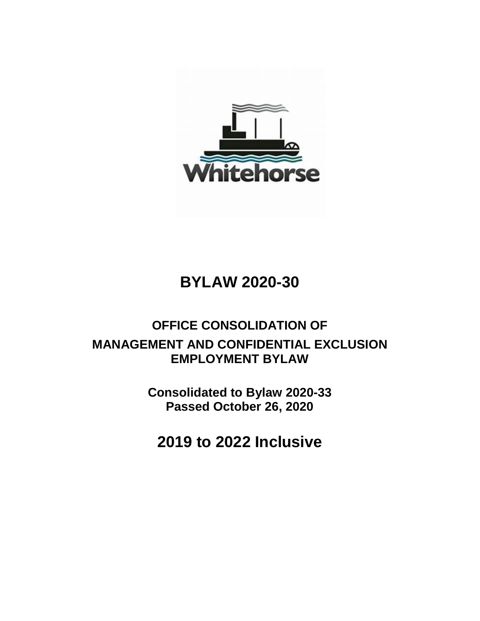

# **BYLAW 2020-30**

## **OFFICE CONSOLIDATION OF MANAGEMENT AND CONFIDENTIAL EXCLUSION EMPLOYMENT BYLAW**

**Consolidated to Bylaw 2020-33 Passed October 26, 2020**

**2019 to 2022 Inclusive**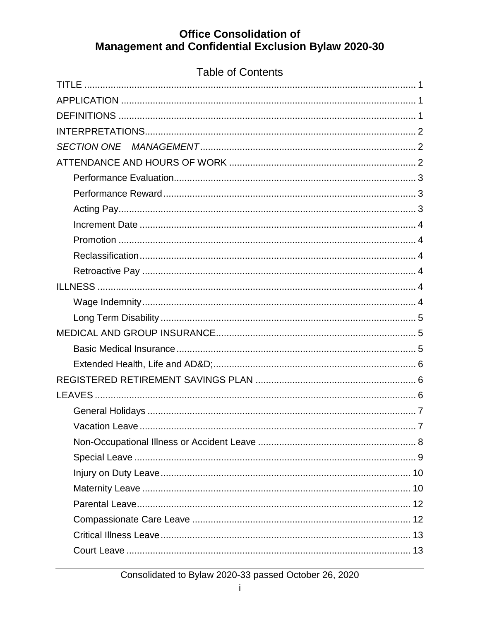### **Table of Contents**

| <b>SECTION ONE</b> |
|--------------------|
|                    |
|                    |
|                    |
|                    |
|                    |
|                    |
|                    |
|                    |
|                    |
|                    |
|                    |
|                    |
|                    |
|                    |
|                    |
|                    |
|                    |
|                    |
|                    |
|                    |
|                    |
|                    |
|                    |
|                    |
|                    |
|                    |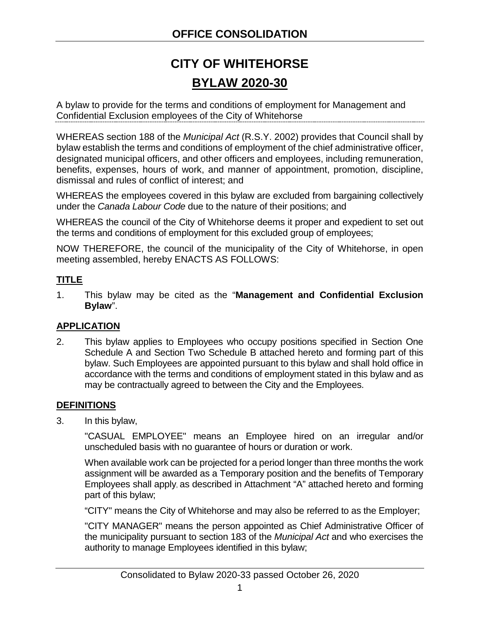## **CITY OF WHITEHORSE BYLAW 2020-30**

A bylaw to provide for the terms and conditions of employment for Management and Confidential Exclusion employees of the City of Whitehorse

WHEREAS section 188 of the *Municipal Act* (R.S.Y. 2002) provides that Council shall by bylaw establish the terms and conditions of employment of the chief administrative officer, designated municipal officers, and other officers and employees, including remuneration, benefits, expenses, hours of work, and manner of appointment, promotion, discipline, dismissal and rules of conflict of interest; and

WHEREAS the employees covered in this bylaw are excluded from bargaining collectively under the *Canada Labour Code* due to the nature of their positions; and

WHEREAS the council of the City of Whitehorse deems it proper and expedient to set out the terms and conditions of employment for this excluded group of employees;

NOW THEREFORE, the council of the municipality of the City of Whitehorse, in open meeting assembled, hereby ENACTS AS FOLLOWS:

### <span id="page-4-0"></span>**TITLE**

1. This bylaw may be cited as the "**Management and Confidential Exclusion Bylaw**".

#### <span id="page-4-1"></span>**APPLICATION**

2. This bylaw applies to Employees who occupy positions specified in Section One Schedule A and Section Two Schedule B attached hereto and forming part of this bylaw. Such Employees are appointed pursuant to this bylaw and shall hold office in accordance with the terms and conditions of employment stated in this bylaw and as may be contractually agreed to between the City and the Employees.

#### <span id="page-4-2"></span>**DEFINITIONS**

3. In this bylaw,

"CASUAL EMPLOYEE" means an Employee hired on an irregular and/or unscheduled basis with no guarantee of hours or duration or work.

When available work can be projected for a period longer than three months the work assignment will be awarded as a Temporary position and the benefits of Temporary Employees shall apply, as described in Attachment "A" attached hereto and forming part of this bylaw;

"CITY" means the City of Whitehorse and may also be referred to as the Employer;

"CITY MANAGER" means the person appointed as Chief Administrative Officer of the municipality pursuant to section 183 of the *Municipal Act* and who exercises the authority to manage Employees identified in this bylaw;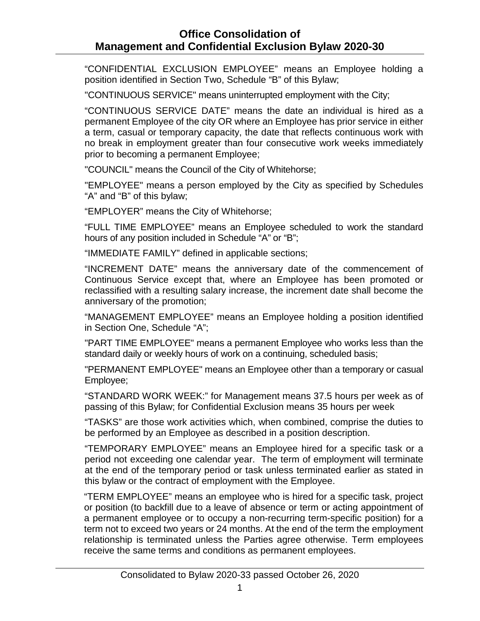"CONFIDENTIAL EXCLUSION EMPLOYEE" means an Employee holding a position identified in Section Two, Schedule "B" of this Bylaw;

"CONTINUOUS SERVICE" means uninterrupted employment with the City;

"CONTINUOUS SERVICE DATE" means the date an individual is hired as a permanent Employee of the city OR where an Employee has prior service in either a term, casual or temporary capacity, the date that reflects continuous work with no break in employment greater than four consecutive work weeks immediately prior to becoming a permanent Employee;

"COUNCIL" means the Council of the City of Whitehorse;

"EMPLOYEE" means a person employed by the City as specified by Schedules "A" and "B" of this bylaw;

"EMPLOYER" means the City of Whitehorse;

"FULL TIME EMPLOYEE" means an Employee scheduled to work the standard hours of any position included in Schedule "A" or "B";

"IMMEDIATE FAMILY" defined in applicable sections;

"INCREMENT DATE" means the anniversary date of the commencement of Continuous Service except that, where an Employee has been promoted or reclassified with a resulting salary increase, the increment date shall become the anniversary of the promotion;

"MANAGEMENT EMPLOYEE" means an Employee holding a position identified in Section One, Schedule "A";

"PART TIME EMPLOYEE" means a permanent Employee who works less than the standard daily or weekly hours of work on a continuing, scheduled basis;

"PERMANENT EMPLOYEE" means an Employee other than a temporary or casual Employee;

"STANDARD WORK WEEK:" for Management means 37.5 hours per week as of passing of this Bylaw; for Confidential Exclusion means 35 hours per week

"TASKS" are those work activities which, when combined, comprise the duties to be performed by an Employee as described in a position description.

"TEMPORARY EMPLOYEE" means an Employee hired for a specific task or a period not exceeding one calendar year. The term of employment will terminate at the end of the temporary period or task unless terminated earlier as stated in this bylaw or the contract of employment with the Employee.

"TERM EMPLOYEE" means an employee who is hired for a specific task, project or position (to backfill due to a leave of absence or term or acting appointment of a permanent employee or to occupy a non-recurring term-specific position) for a term not to exceed two years or 24 months. At the end of the term the employment relationship is terminated unless the Parties agree otherwise. Term employees receive the same terms and conditions as permanent employees.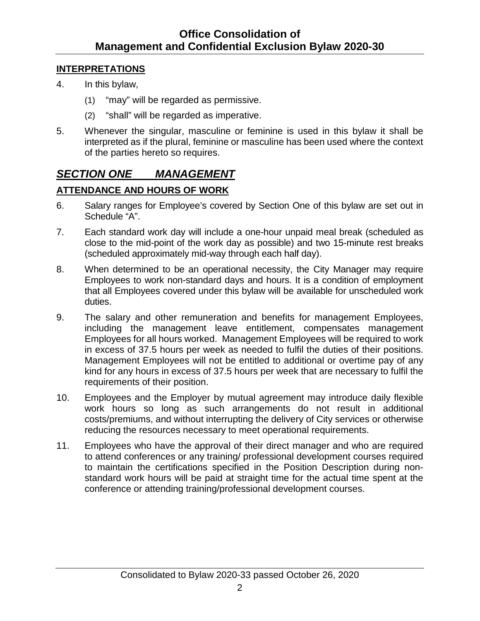#### <span id="page-6-0"></span>**INTERPRETATIONS**

- 4. In this bylaw,
	- (1) "may" will be regarded as permissive.
	- (2) "shall" will be regarded as imperative.
- 5. Whenever the singular, masculine or feminine is used in this bylaw it shall be interpreted as if the plural, feminine or masculine has been used where the context of the parties hereto so requires.

### <span id="page-6-1"></span>*SECTION ONE MANAGEMENT*

#### <span id="page-6-2"></span>**ATTENDANCE AND HOURS OF WORK**

- 6. Salary ranges for Employee's covered by Section One of this bylaw are set out in Schedule "A".
- 7. Each standard work day will include a one-hour unpaid meal break (scheduled as close to the mid-point of the work day as possible) and two 15-minute rest breaks (scheduled approximately mid-way through each half day).
- 8. When determined to be an operational necessity, the City Manager may require Employees to work non-standard days and hours. It is a condition of employment that all Employees covered under this bylaw will be available for unscheduled work duties.
- 9. The salary and other remuneration and benefits for management Employees, including the management leave entitlement, compensates management Employees for all hours worked. Management Employees will be required to work in excess of 37.5 hours per week as needed to fulfil the duties of their positions. Management Employees will not be entitled to additional or overtime pay of any kind for any hours in excess of 37.5 hours per week that are necessary to fulfil the requirements of their position.
- 10. Employees and the Employer by mutual agreement may introduce daily flexible work hours so long as such arrangements do not result in additional costs/premiums, and without interrupting the delivery of City services or otherwise reducing the resources necessary to meet operational requirements.
- 11. Employees who have the approval of their direct manager and who are required to attend conferences or any training/ professional development courses required to maintain the certifications specified in the Position Description during nonstandard work hours will be paid at straight time for the actual time spent at the conference or attending training/professional development courses.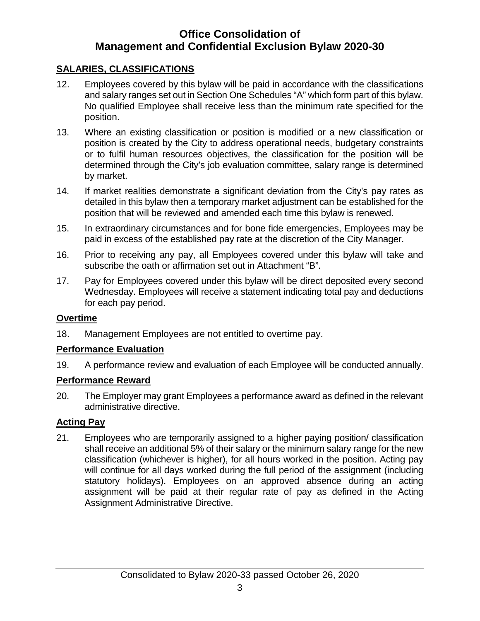#### **SALARIES, CLASSIFICATIONS**

- 12. Employees covered by this bylaw will be paid in accordance with the classifications and salary ranges set out in Section One Schedules "A" which form part of this bylaw. No qualified Employee shall receive less than the minimum rate specified for the position.
- 13. Where an existing classification or position is modified or a new classification or position is created by the City to address operational needs, budgetary constraints or to fulfil human resources objectives, the classification for the position will be determined through the City's job evaluation committee, salary range is determined by market.
- 14. If market realities demonstrate a significant deviation from the City's pay rates as detailed in this bylaw then a temporary market adjustment can be established for the position that will be reviewed and amended each time this bylaw is renewed.
- 15. In extraordinary circumstances and for bone fide emergencies, Employees may be paid in excess of the established pay rate at the discretion of the City Manager.
- 16. Prior to receiving any pay, all Employees covered under this bylaw will take and subscribe the oath or affirmation set out in Attachment "B".
- 17. Pay for Employees covered under this bylaw will be direct deposited every second Wednesday. Employees will receive a statement indicating total pay and deductions for each pay period.

#### **Overtime**

18. Management Employees are not entitled to overtime pay.

#### <span id="page-7-0"></span>**Performance Evaluation**

19. A performance review and evaluation of each Employee will be conducted annually.

#### <span id="page-7-1"></span>**Performance Reward**

20. The Employer may grant Employees a performance award as defined in the relevant administrative directive.

#### <span id="page-7-2"></span>**Acting Pay**

21. Employees who are temporarily assigned to a higher paying position/ classification shall receive an additional 5% of their salary or the minimum salary range for the new classification (whichever is higher), for all hours worked in the position. Acting pay will continue for all days worked during the full period of the assignment (including statutory holidays). Employees on an approved absence during an acting assignment will be paid at their regular rate of pay as defined in the Acting Assignment Administrative Directive.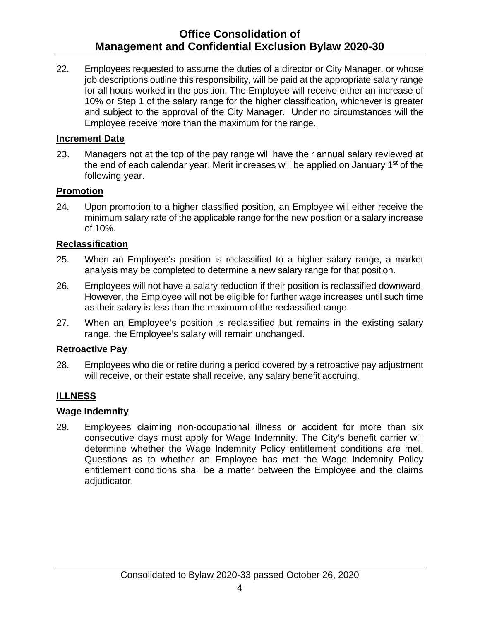22. Employees requested to assume the duties of a director or City Manager, or whose job descriptions outline this responsibility, will be paid at the appropriate salary range for all hours worked in the position. The Employee will receive either an increase of 10% or Step 1 of the salary range for the higher classification, whichever is greater and subject to the approval of the City Manager. Under no circumstances will the Employee receive more than the maximum for the range.

#### <span id="page-8-0"></span>**Increment Date**

23. Managers not at the top of the pay range will have their annual salary reviewed at the end of each calendar year. Merit increases will be applied on January 1<sup>st</sup> of the following year.

#### <span id="page-8-1"></span>**Promotion**

24. Upon promotion to a higher classified position, an Employee will either receive the minimum salary rate of the applicable range for the new position or a salary increase of 10%.

#### <span id="page-8-2"></span>**Reclassification**

- 25. When an Employee's position is reclassified to a higher salary range, a market analysis may be completed to determine a new salary range for that position.
- 26. Employees will not have a salary reduction if their position is reclassified downward. However, the Employee will not be eligible for further wage increases until such time as their salary is less than the maximum of the reclassified range.
- 27. When an Employee's position is reclassified but remains in the existing salary range, the Employee's salary will remain unchanged.

#### <span id="page-8-3"></span>**Retroactive Pay**

28. Employees who die or retire during a period covered by a retroactive pay adjustment will receive, or their estate shall receive, any salary benefit accruing.

#### <span id="page-8-4"></span>**ILLNESS**

#### <span id="page-8-5"></span>**Wage Indemnity**

29. Employees claiming non-occupational illness or accident for more than six consecutive days must apply for Wage Indemnity. The City's benefit carrier will determine whether the Wage Indemnity Policy entitlement conditions are met. Questions as to whether an Employee has met the Wage Indemnity Policy entitlement conditions shall be a matter between the Employee and the claims adjudicator.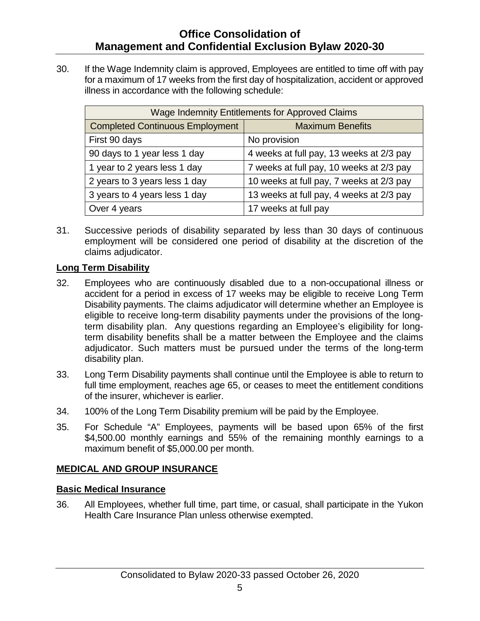30. If the Wage Indemnity claim is approved, Employees are entitled to time off with pay for a maximum of 17 weeks from the first day of hospitalization, accident or approved illness in accordance with the following schedule:

| <b>Wage Indemnity Entitlements for Approved Claims</b> |                                          |  |  |  |
|--------------------------------------------------------|------------------------------------------|--|--|--|
| <b>Completed Continuous Employment</b>                 | <b>Maximum Benefits</b>                  |  |  |  |
| First 90 days                                          | No provision                             |  |  |  |
| 90 days to 1 year less 1 day                           | 4 weeks at full pay, 13 weeks at 2/3 pay |  |  |  |
| 1 year to 2 years less 1 day                           | 7 weeks at full pay, 10 weeks at 2/3 pay |  |  |  |
| 2 years to 3 years less 1 day                          | 10 weeks at full pay, 7 weeks at 2/3 pay |  |  |  |
| 3 years to 4 years less 1 day                          | 13 weeks at full pay, 4 weeks at 2/3 pay |  |  |  |
| Over 4 years                                           | 17 weeks at full pay                     |  |  |  |

31. Successive periods of disability separated by less than 30 days of continuous employment will be considered one period of disability at the discretion of the claims adjudicator.

#### <span id="page-9-0"></span>**Long Term Disability**

- 32. Employees who are continuously disabled due to a non-occupational illness or accident for a period in excess of 17 weeks may be eligible to receive Long Term Disability payments. The claims adjudicator will determine whether an Employee is eligible to receive long-term disability payments under the provisions of the longterm disability plan. Any questions regarding an Employee's eligibility for longterm disability benefits shall be a matter between the Employee and the claims adjudicator. Such matters must be pursued under the terms of the long-term disability plan.
- 33. Long Term Disability payments shall continue until the Employee is able to return to full time employment, reaches age 65, or ceases to meet the entitlement conditions of the insurer, whichever is earlier.
- 34. 100% of the Long Term Disability premium will be paid by the Employee.
- 35. For Schedule "A" Employees, payments will be based upon 65% of the first \$4,500.00 monthly earnings and 55% of the remaining monthly earnings to a maximum benefit of \$5,000.00 per month.

#### <span id="page-9-1"></span>**MEDICAL AND GROUP INSURANCE**

#### <span id="page-9-2"></span>**Basic Medical Insurance**

36. All Employees, whether full time, part time, or casual, shall participate in the Yukon Health Care Insurance Plan unless otherwise exempted.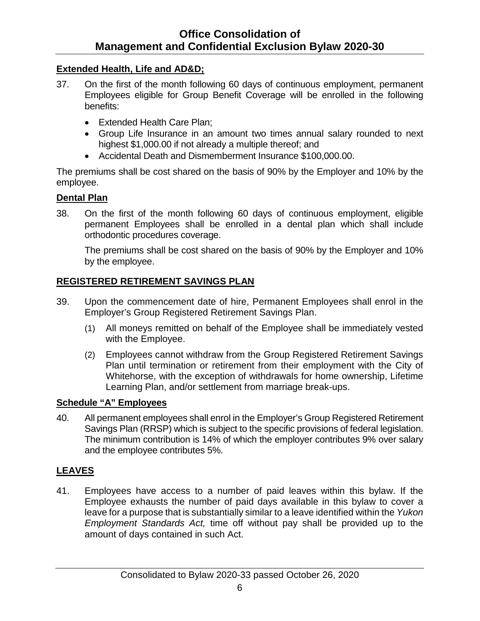#### <span id="page-10-0"></span>**Extended Health, Life and AD&D;**

- 37. On the first of the month following 60 days of continuous employment, permanent Employees eligible for Group Benefit Coverage will be enrolled in the following benefits:
	- Extended Health Care Plan;
	- Group Life Insurance in an amount two times annual salary rounded to next highest \$1,000.00 if not already a multiple thereof; and
	- Accidental Death and Dismemberment Insurance \$100,000.00.

The premiums shall be cost shared on the basis of 90% by the Employer and 10% by the employee.

#### **Dental Plan**

38. On the first of the month following 60 days of continuous employment, eligible permanent Employees shall be enrolled in a dental plan which shall include orthodontic procedures coverage.

The premiums shall be cost shared on the basis of 90% by the Employer and 10% by the employee.

### <span id="page-10-1"></span>**REGISTERED RETIREMENT SAVINGS PLAN**

- 39. Upon the commencement date of hire, Permanent Employees shall enrol in the Employer's Group Registered Retirement Savings Plan.
	- (1) All moneys remitted on behalf of the Employee shall be immediately vested with the Employee.
	- (2) Employees cannot withdraw from the Group Registered Retirement Savings Plan until termination or retirement from their employment with the City of Whitehorse, with the exception of withdrawals for home ownership, Lifetime Learning Plan, and/or settlement from marriage break-ups.

#### **Schedule "A" Employees**

40. All permanent employees shall enrol in the Employer's Group Registered Retirement Savings Plan (RRSP) which is subject to the specific provisions of federal legislation. The minimum contribution is 14% of which the employer contributes 9% over salary and the employee contributes 5%.

#### <span id="page-10-2"></span>**LEAVES**

41. Employees have access to a number of paid leaves within this bylaw. If the Employee exhausts the number of paid days available in this bylaw to cover a leave for a purpose that is substantially similar to a leave identified within the *Yukon Employment Standards Act,* time off without pay shall be provided up to the amount of days contained in such Act.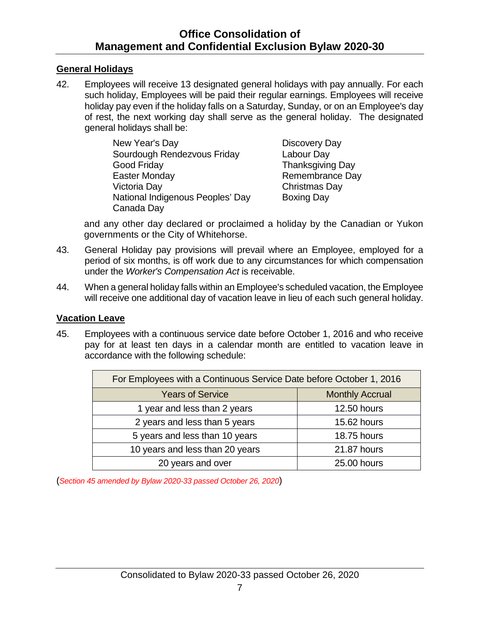#### <span id="page-11-0"></span>**General Holidays**

42. Employees will receive 13 designated general holidays with pay annually. For each such holiday, Employees will be paid their regular earnings. Employees will receive holiday pay even if the holiday falls on a Saturday, Sunday, or on an Employee's day of rest, the next working day shall serve as the general holiday. The designated general holidays shall be:

> New Year's Day **Discovery Day** Sourdough Rendezvous Friday Labour Day Good Friday **Thanksgiving Day** Easter Monday **Remembrance Day** Victoria Day Christmas Day National Indigenous Peoples' Day Boxing Day Canada Day

and any other day declared or proclaimed a holiday by the Canadian or Yukon governments or the City of Whitehorse.

- 43. General Holiday pay provisions will prevail where an Employee, employed for a period of six months, is off work due to any circumstances for which compensation under the *Worker's Compensation Act* is receivable.
- 44. When a general holiday falls within an Employee's scheduled vacation, the Employee will receive one additional day of vacation leave in lieu of each such general holiday.

#### <span id="page-11-1"></span>**Vacation Leave**

45. Employees with a continuous service date before October 1, 2016 and who receive pay for at least ten days in a calendar month are entitled to vacation leave in accordance with the following schedule:

| For Employees with a Continuous Service Date before October 1, 2016 |             |  |  |  |
|---------------------------------------------------------------------|-------------|--|--|--|
| <b>Years of Service</b><br><b>Monthly Accrual</b>                   |             |  |  |  |
| 1 year and less than 2 years                                        | 12.50 hours |  |  |  |
| 2 years and less than 5 years<br>15.62 hours                        |             |  |  |  |
| 5 years and less than 10 years                                      | 18.75 hours |  |  |  |
| 10 years and less than 20 years                                     | 21.87 hours |  |  |  |
| 20 years and over                                                   | 25.00 hours |  |  |  |

(*Section 45 amended by Bylaw 2020-33 passed October 26, 2020*)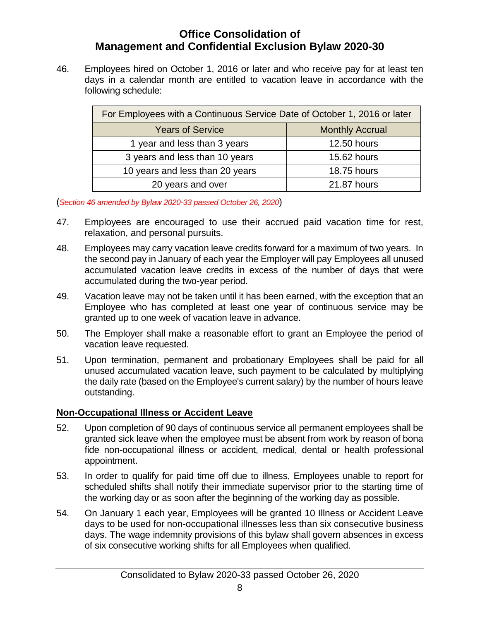46. Employees hired on October 1, 2016 or later and who receive pay for at least ten days in a calendar month are entitled to vacation leave in accordance with the following schedule:

| For Employees with a Continuous Service Date of October 1, 2016 or later |             |  |  |  |
|--------------------------------------------------------------------------|-------------|--|--|--|
| <b>Years of Service</b><br><b>Monthly Accrual</b>                        |             |  |  |  |
| 1 year and less than 3 years                                             | 12.50 hours |  |  |  |
| 3 years and less than 10 years<br>15.62 hours                            |             |  |  |  |
| 10 years and less than 20 years                                          | 18.75 hours |  |  |  |
| 20 years and over<br>21.87 hours                                         |             |  |  |  |

(*Section 46 amended by Bylaw 2020-33 passed October 26, 2020*)

- 47. Employees are encouraged to use their accrued paid vacation time for rest, relaxation, and personal pursuits.
- 48. Employees may carry vacation leave credits forward for a maximum of two years. In the second pay in January of each year the Employer will pay Employees all unused accumulated vacation leave credits in excess of the number of days that were accumulated during the two-year period.
- 49. Vacation leave may not be taken until it has been earned, with the exception that an Employee who has completed at least one year of continuous service may be granted up to one week of vacation leave in advance.
- 50. The Employer shall make a reasonable effort to grant an Employee the period of vacation leave requested.
- 51. Upon termination, permanent and probationary Employees shall be paid for all unused accumulated vacation leave, such payment to be calculated by multiplying the daily rate (based on the Employee's current salary) by the number of hours leave outstanding.

#### <span id="page-12-0"></span>**Non-Occupational Illness or Accident Leave**

- 52. Upon completion of 90 days of continuous service all permanent employees shall be granted sick leave when the employee must be absent from work by reason of bona fide non-occupational illness or accident, medical, dental or health professional appointment.
- 53. In order to qualify for paid time off due to illness, Employees unable to report for scheduled shifts shall notify their immediate supervisor prior to the starting time of the working day or as soon after the beginning of the working day as possible.
- 54. On January 1 each year, Employees will be granted 10 Illness or Accident Leave days to be used for non-occupational illnesses less than six consecutive business days. The wage indemnity provisions of this bylaw shall govern absences in excess of six consecutive working shifts for all Employees when qualified.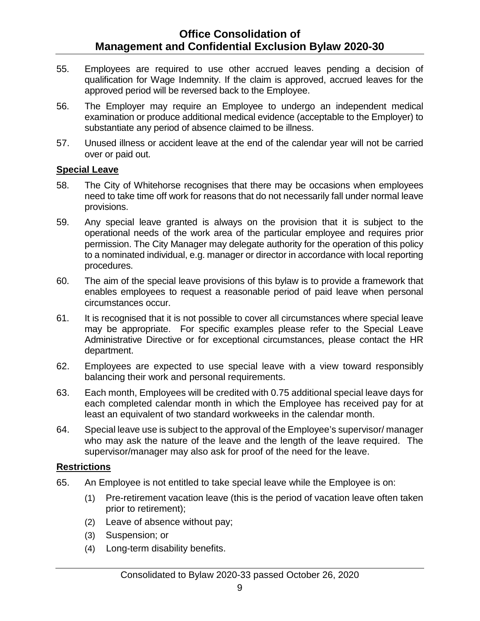- 55. Employees are required to use other accrued leaves pending a decision of qualification for Wage Indemnity. If the claim is approved, accrued leaves for the approved period will be reversed back to the Employee.
- 56. The Employer may require an Employee to undergo an independent medical examination or produce additional medical evidence (acceptable to the Employer) to substantiate any period of absence claimed to be illness.
- 57. Unused illness or accident leave at the end of the calendar year will not be carried over or paid out.

#### <span id="page-13-0"></span>**Special Leave**

- 58. The City of Whitehorse recognises that there may be occasions when employees need to take time off work for reasons that do not necessarily fall under normal leave provisions.
- 59. Any special leave granted is always on the provision that it is subject to the operational needs of the work area of the particular employee and requires prior permission. The City Manager may delegate authority for the operation of this policy to a nominated individual, e.g. manager or director in accordance with local reporting procedures.
- 60. The aim of the [special leave provisions of this bylaw](https://www.hr.admin.cam.ac.uk/files/special_leave_policy_printable_01.10.19.pdf) is to provide a framework that enables employees to request a reasonable period of paid leave when personal circumstances occur.
- 61. It is recognised that it is not possible to cover all circumstances where special leave may be appropriate. For specific examples please refer to the Special Leave Administrative Directive or for exceptional circumstances, please contact the HR department.
- 62. Employees are expected to use special leave with a view toward responsibly balancing their work and personal requirements.
- 63. Each month, Employees will be credited with 0.75 additional special leave days for each completed calendar month in which the Employee has received pay for at least an equivalent of two standard workweeks in the calendar month.
- 64. Special leave use is subject to the approval of the Employee's supervisor/ manager who may ask the nature of the leave and the length of the leave required. The supervisor/manager may also ask for proof of the need for the leave.

#### **Restrictions**

- 65. An Employee is not entitled to take special leave while the Employee is on:
	- (1) Pre-retirement vacation leave (this is the period of vacation leave often taken prior to retirement);
	- (2) Leave of absence without pay;
	- (3) Suspension; or
	- (4) Long-term disability benefits.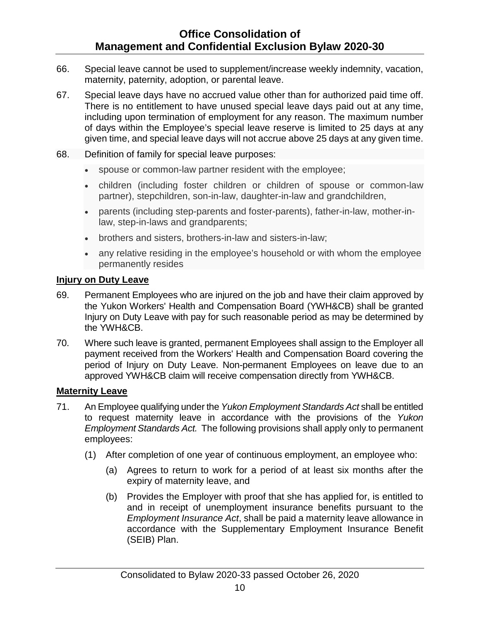- 66. Special leave cannot be used to supplement/increase weekly indemnity, vacation, maternity, paternity, adoption, or parental leave.
- 67. Special leave days have no accrued value other than for authorized paid time off. There is no entitlement to have unused special leave days paid out at any time, including upon termination of employment for any reason. The maximum number of days within the Employee's special leave reserve is limited to 25 days at any given time, and special leave days will not accrue above 25 days at any given time.
- 68. Definition of family for special leave purposes:
	- spouse or common-law partner resident with the employee;
	- children (including foster children or children of spouse or common-law partner), stepchildren, son-in-law, daughter-in-law and grandchildren,
	- parents (including step-parents and foster-parents), father-in-law, mother-inlaw, step-in-laws and grandparents;
	- brothers and sisters, brothers-in-law and sisters-in-law;
	- any relative residing in the employee's household or with whom the employee permanently resides

#### <span id="page-14-0"></span>**Injury on Duty Leave**

- 69. Permanent Employees who are injured on the job and have their claim approved by the Yukon Workers' Health and Compensation Board (YWH&CB) shall be granted Injury on Duty Leave with pay for such reasonable period as may be determined by the YWH&CB.
- 70. Where such leave is granted, permanent Employees shall assign to the Employer all payment received from the Workers' Health and Compensation Board covering the period of Injury on Duty Leave. Non-permanent Employees on leave due to an approved YWH&CB claim will receive compensation directly from YWH&CB.

#### <span id="page-14-1"></span>**Maternity Leave**

- 71. An Employee qualifying under the *Yukon Employment Standards Act* shall be entitled to request maternity leave in accordance with the provisions of the *Yukon Employment Standards Act.* The following provisions shall apply only to permanent employees:
	- (1) After completion of one year of continuous employment, an employee who:
		- (a) Agrees to return to work for a period of at least six months after the expiry of maternity leave, and
		- (b) Provides the Employer with proof that she has applied for, is entitled to and in receipt of unemployment insurance benefits pursuant to the *Employment Insurance Act*, shall be paid a maternity leave allowance in accordance with the Supplementary Employment Insurance Benefit (SEIB) Plan.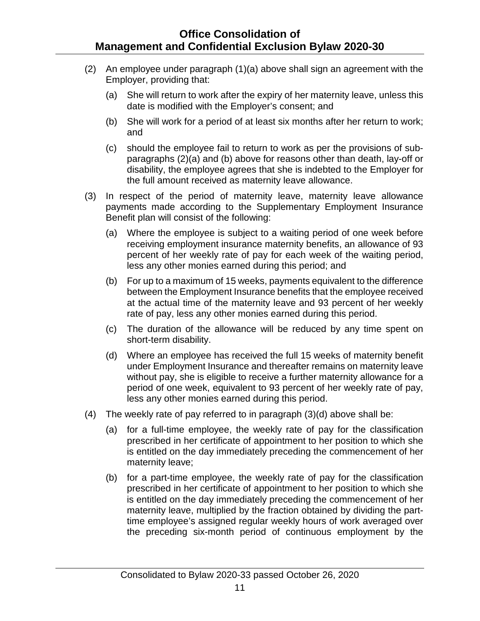- (2) An employee under paragraph (1)(a) above shall sign an agreement with the Employer, providing that:
	- (a) She will return to work after the expiry of her maternity leave, unless this date is modified with the Employer's consent; and
	- (b) She will work for a period of at least six months after her return to work; and
	- (c) should the employee fail to return to work as per the provisions of subparagraphs (2)(a) and (b) above for reasons other than death, lay-off or disability, the employee agrees that she is indebted to the Employer for the full amount received as maternity leave allowance.
- (3) In respect of the period of maternity leave, maternity leave allowance payments made according to the Supplementary Employment Insurance Benefit plan will consist of the following:
	- (a) Where the employee is subject to a waiting period of one week before receiving employment insurance maternity benefits, an allowance of 93 percent of her weekly rate of pay for each week of the waiting period, less any other monies earned during this period; and
	- (b) For up to a maximum of 15 weeks, payments equivalent to the difference between the Employment Insurance benefits that the employee received at the actual time of the maternity leave and 93 percent of her weekly rate of pay, less any other monies earned during this period.
	- (c) The duration of the allowance will be reduced by any time spent on short-term disability.
	- (d) Where an employee has received the full 15 weeks of maternity benefit under Employment Insurance and thereafter remains on maternity leave without pay, she is eligible to receive a further maternity allowance for a period of one week, equivalent to 93 percent of her weekly rate of pay, less any other monies earned during this period.
- (4) The weekly rate of pay referred to in paragraph (3)(d) above shall be:
	- (a) for a full-time employee, the weekly rate of pay for the classification prescribed in her certificate of appointment to her position to which she is entitled on the day immediately preceding the commencement of her maternity leave;
	- (b) for a part-time employee, the weekly rate of pay for the classification prescribed in her certificate of appointment to her position to which she is entitled on the day immediately preceding the commencement of her maternity leave, multiplied by the fraction obtained by dividing the parttime employee's assigned regular weekly hours of work averaged over the preceding six-month period of continuous employment by the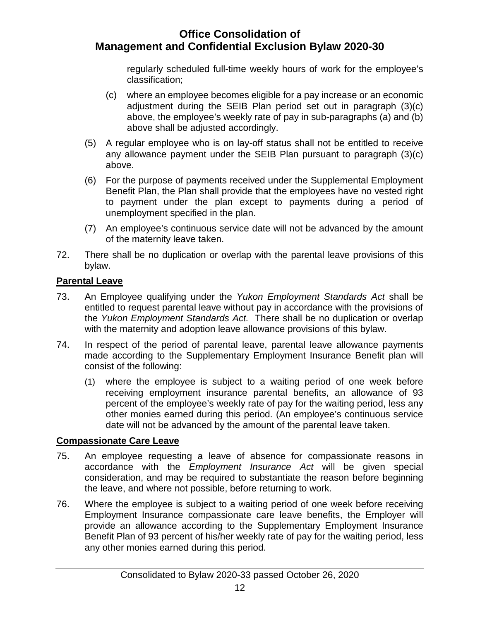regularly scheduled full-time weekly hours of work for the employee's classification;

- (c) where an employee becomes eligible for a pay increase or an economic adjustment during the SEIB Plan period set out in paragraph (3)(c) above, the employee's weekly rate of pay in sub-paragraphs (a) and (b) above shall be adjusted accordingly.
- (5) A regular employee who is on lay-off status shall not be entitled to receive any allowance payment under the SEIB Plan pursuant to paragraph (3)(c) above.
- (6) For the purpose of payments received under the Supplemental Employment Benefit Plan, the Plan shall provide that the employees have no vested right to payment under the plan except to payments during a period of unemployment specified in the plan.
- (7) An employee's continuous service date will not be advanced by the amount of the maternity leave taken.
- 72. There shall be no duplication or overlap with the parental leave provisions of this bylaw.

#### <span id="page-16-0"></span>**Parental Leave**

- 73. An Employee qualifying under the *Yukon Employment Standards Act* shall be entitled to request parental leave without pay in accordance with the provisions of the *Yukon Employment Standards Act.* There shall be no duplication or overlap with the maternity and adoption leave allowance provisions of this bylaw.
- 74. In respect of the period of parental leave, parental leave allowance payments made according to the Supplementary Employment Insurance Benefit plan will consist of the following:
	- (1) where the employee is subject to a waiting period of one week before receiving employment insurance parental benefits, an allowance of 93 percent of the employee's weekly rate of pay for the waiting period, less any other monies earned during this period. (An employee's continuous service date will not be advanced by the amount of the parental leave taken.

#### <span id="page-16-1"></span>**Compassionate Care Leave**

- 75. An employee requesting a leave of absence for compassionate reasons in accordance with the *Employment Insurance Act* will be given special consideration, and may be required to substantiate the reason before beginning the leave, and where not possible, before returning to work.
- 76. Where the employee is subject to a waiting period of one week before receiving Employment Insurance compassionate care leave benefits, the Employer will provide an allowance according to the Supplementary Employment Insurance Benefit Plan of 93 percent of his/her weekly rate of pay for the waiting period, less any other monies earned during this period.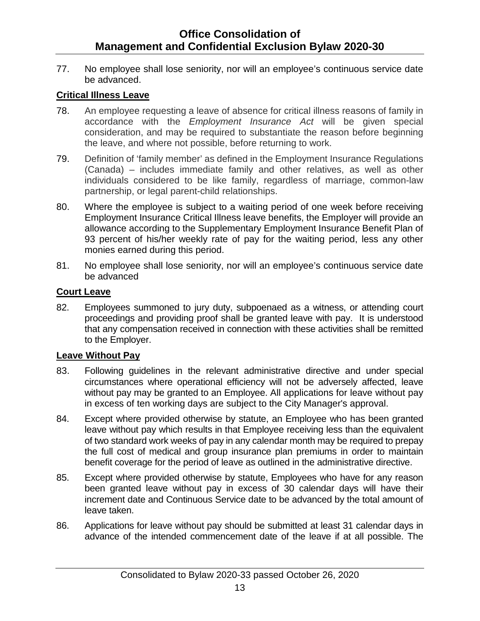77. No employee shall lose seniority, nor will an employee's continuous service date be advanced.

#### <span id="page-17-0"></span>**Critical Illness Leave**

- 78. An employee requesting a leave of absence for critical illness reasons of family in accordance with the *Employment Insurance Act* will be given special consideration, and may be required to substantiate the reason before beginning the leave, and where not possible, before returning to work.
- 79. Definition of 'family member' as defined in the Employment Insurance Regulations (Canada) – includes immediate family and other relatives, as well as other individuals considered to be like family, regardless of marriage, common-law partnership, or legal parent-child relationships.
- 80. Where the employee is subject to a waiting period of one week before receiving Employment Insurance Critical Illness leave benefits, the Employer will provide an allowance according to the Supplementary Employment Insurance Benefit Plan of 93 percent of his/her weekly rate of pay for the waiting period, less any other monies earned during this period.
- 81. No employee shall lose seniority, nor will an employee's continuous service date be advanced

#### <span id="page-17-1"></span>**Court Leave**

82. Employees summoned to jury duty, subpoenaed as a witness, or attending court proceedings and providing proof shall be granted leave with pay. It is understood that any compensation received in connection with these activities shall be remitted to the Employer.

#### <span id="page-17-2"></span>**Leave Without Pay**

- 83. Following guidelines in the relevant administrative directive and under special circumstances where operational efficiency will not be adversely affected, leave without pay may be granted to an Employee. All applications for leave without pay in excess of ten working days are subject to the City Manager's approval.
- 84. Except where provided otherwise by statute, an Employee who has been granted leave without pay which results in that Employee receiving less than the equivalent of two standard work weeks of pay in any calendar month may be required to prepay the full cost of medical and group insurance plan premiums in order to maintain benefit coverage for the period of leave as outlined in the administrative directive.
- 85. Except where provided otherwise by statute, Employees who have for any reason been granted leave without pay in excess of 30 calendar days will have their increment date and Continuous Service date to be advanced by the total amount of leave taken.
- 86. Applications for leave without pay should be submitted at least 31 calendar days in advance of the intended commencement date of the leave if at all possible. The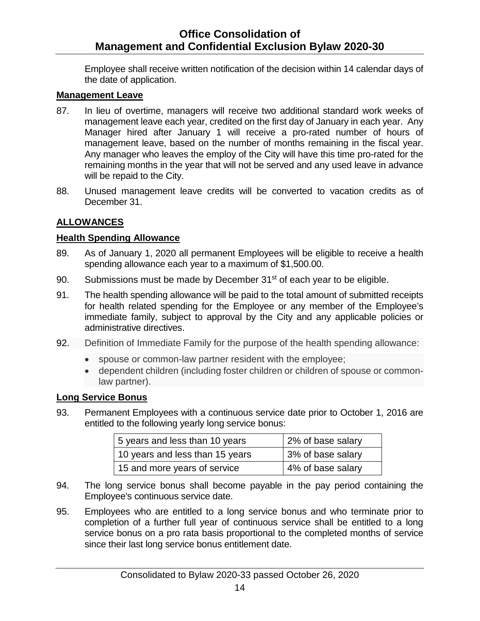Employee shall receive written notification of the decision within 14 calendar days of the date of application.

#### <span id="page-18-0"></span>**Management Leave**

- 87. In lieu of overtime, managers will receive two additional standard work weeks of management leave each year, credited on the first day of January in each year. Any Manager hired after January 1 will receive a pro-rated number of hours of management leave, based on the number of months remaining in the fiscal year. Any manager who leaves the employ of the City will have this time pro-rated for the remaining months in the year that will not be served and any used leave in advance will be repaid to the City.
- 88. Unused management leave credits will be converted to vacation credits as of December 31.

#### <span id="page-18-1"></span>**ALLOWANCES**

#### <span id="page-18-2"></span>**Health Spending Allowance**

- 89. As of January 1, 2020 all permanent Employees will be eligible to receive a health spending allowance each year to a maximum of \$1,500.00.
- 90. Submissions must be made by December 31<sup>st</sup> of each year to be eligible.
- 91. The health spending allowance will be paid to the total amount of submitted receipts for health related spending for the Employee or any member of the Employee's immediate family, subject to approval by the City and any applicable policies or administrative directives.
- 92. Definition of Immediate Family for the purpose of the health spending allowance:
	- spouse or common-law partner resident with the employee;
	- dependent children (including foster children or children of spouse or commonlaw partner).

#### <span id="page-18-3"></span>**Long Service Bonus**

93. Permanent Employees with a continuous service date prior to October 1, 2016 are entitled to the following yearly long service bonus:

| 5 years and less than 10 years  | 2% of base salary |
|---------------------------------|-------------------|
| 10 years and less than 15 years | 3% of base salary |
| 15 and more years of service    | 4% of base salary |

- 94. The long service bonus shall become payable in the pay period containing the Employee's continuous service date.
- 95. Employees who are entitled to a long service bonus and who terminate prior to completion of a further full year of continuous service shall be entitled to a long service bonus on a pro rata basis proportional to the completed months of service since their last long service bonus entitlement date.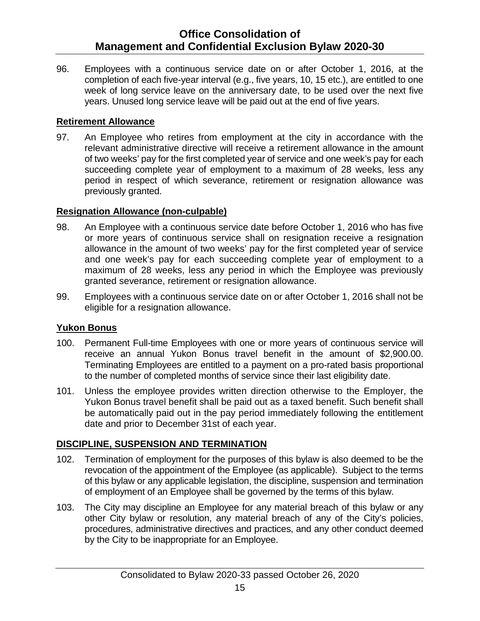96. Employees with a continuous service date on or after October 1, 2016, at the completion of each five-year interval (e.g., five years, 10, 15 etc.), are entitled to one week of long service leave on the anniversary date, to be used over the next five years. Unused long service leave will be paid out at the end of five years.

#### <span id="page-19-0"></span>**Retirement Allowance**

97. An Employee who retires from employment at the city in accordance with the relevant administrative directive will receive a retirement allowance in the amount of two weeks' pay for the first completed year of service and one week's pay for each succeeding complete year of employment to a maximum of 28 weeks, less any period in respect of which severance, retirement or resignation allowance was previously granted.

#### <span id="page-19-1"></span>**Resignation Allowance (non-culpable)**

- 98. An Employee with a continuous service date before October 1, 2016 who has five or more years of continuous service shall on resignation receive a resignation allowance in the amount of two weeks' pay for the first completed year of service and one week's pay for each succeeding complete year of employment to a maximum of 28 weeks, less any period in which the Employee was previously granted severance, retirement or resignation allowance.
- 99. Employees with a continuous service date on or after October 1, 2016 shall not be eligible for a resignation allowance.

#### <span id="page-19-2"></span>**Yukon Bonus**

- 100. Permanent Full-time Employees with one or more years of continuous service will receive an annual Yukon Bonus travel benefit in the amount of \$2,900.00. Terminating Employees are entitled to a payment on a pro-rated basis proportional to the number of completed months of service since their last eligibility date.
- 101. Unless the employee provides written direction otherwise to the Employer, the Yukon Bonus travel benefit shall be paid out as a taxed benefit. Such benefit shall be automatically paid out in the pay period immediately following the entitlement date and prior to December 31st of each year.

#### <span id="page-19-3"></span>**DISCIPLINE, SUSPENSION AND TERMINATION**

- 102. Termination of employment for the purposes of this bylaw is also deemed to be the revocation of the appointment of the Employee (as applicable). Subject to the terms of this bylaw or any applicable legislation, the discipline, suspension and termination of employment of an Employee shall be governed by the terms of this bylaw.
- 103. The City may discipline an Employee for any material breach of this bylaw or any other City bylaw or resolution, any material breach of any of the City's policies, procedures, administrative directives and practices, and any other conduct deemed by the City to be inappropriate for an Employee.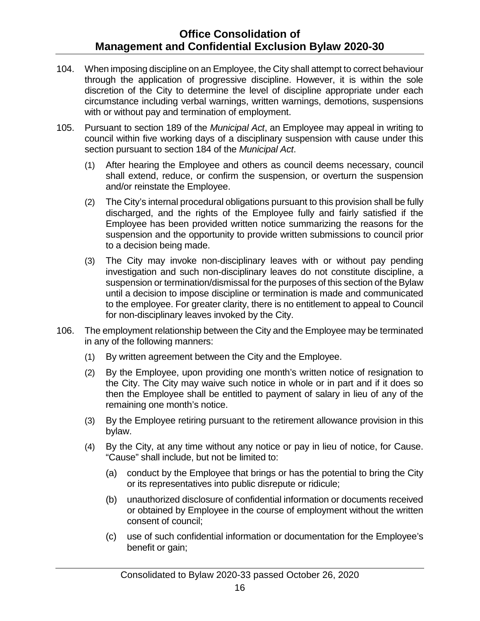- 104. When imposing discipline on an Employee, the City shall attempt to correct behaviour through the application of progressive discipline. However, it is within the sole discretion of the City to determine the level of discipline appropriate under each circumstance including verbal warnings, written warnings, demotions, suspensions with or without pay and termination of employment.
- 105. Pursuant to section 189 of the *Municipal Act*, an Employee may appeal in writing to council within five working days of a disciplinary suspension with cause under this section pursuant to section 184 of the *Municipal Act*.
	- (1) After hearing the Employee and others as council deems necessary, council shall extend, reduce, or confirm the suspension, or overturn the suspension and/or reinstate the Employee.
	- (2) The City's internal procedural obligations pursuant to this provision shall be fully discharged, and the rights of the Employee fully and fairly satisfied if the Employee has been provided written notice summarizing the reasons for the suspension and the opportunity to provide written submissions to council prior to a decision being made.
	- (3) The City may invoke non-disciplinary leaves with or without pay pending investigation and such non-disciplinary leaves do not constitute discipline, a suspension or termination/dismissal for the purposes of this section of the Bylaw until a decision to impose discipline or termination is made and communicated to the employee. For greater clarity, there is no entitlement to appeal to Council for non-disciplinary leaves invoked by the City.
- 106. The employment relationship between the City and the Employee may be terminated in any of the following manners:
	- (1) By written agreement between the City and the Employee.
	- (2) By the Employee, upon providing one month's written notice of resignation to the City. The City may waive such notice in whole or in part and if it does so then the Employee shall be entitled to payment of salary in lieu of any of the remaining one month's notice.
	- (3) By the Employee retiring pursuant to the retirement allowance provision in this bylaw.
	- (4) By the City, at any time without any notice or pay in lieu of notice, for Cause. "Cause" shall include, but not be limited to:
		- (a) conduct by the Employee that brings or has the potential to bring the City or its representatives into public disrepute or ridicule;
		- (b) unauthorized disclosure of confidential information or documents received or obtained by Employee in the course of employment without the written consent of council;
		- (c) use of such confidential information or documentation for the Employee's benefit or gain;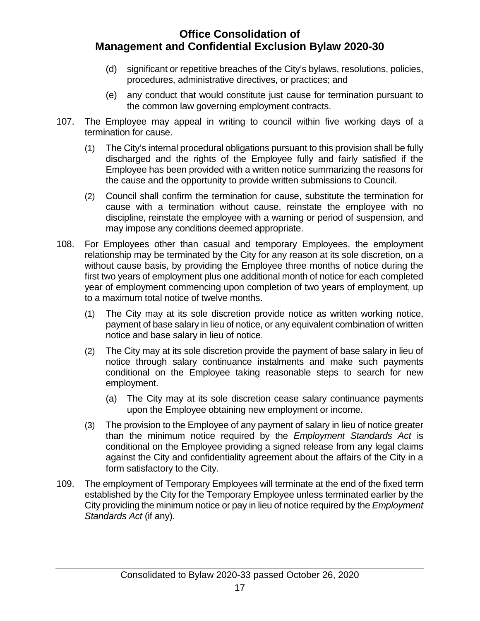- (d) significant or repetitive breaches of the City's bylaws, resolutions, policies, procedures, administrative directives, or practices; and
- (e) any conduct that would constitute just cause for termination pursuant to the common law governing employment contracts.
- 107. The Employee may appeal in writing to council within five working days of a termination for cause.
	- (1) The City's internal procedural obligations pursuant to this provision shall be fully discharged and the rights of the Employee fully and fairly satisfied if the Employee has been provided with a written notice summarizing the reasons for the cause and the opportunity to provide written submissions to Council.
	- (2) Council shall confirm the termination for cause, substitute the termination for cause with a termination without cause, reinstate the employee with no discipline, reinstate the employee with a warning or period of suspension, and may impose any conditions deemed appropriate.
- 108. For Employees other than casual and temporary Employees, the employment relationship may be terminated by the City for any reason at its sole discretion, on a without cause basis, by providing the Employee three months of notice during the first two years of employment plus one additional month of notice for each completed year of employment commencing upon completion of two years of employment, up to a maximum total notice of twelve months.
	- (1) The City may at its sole discretion provide notice as written working notice, payment of base salary in lieu of notice, or any equivalent combination of written notice and base salary in lieu of notice.
	- (2) The City may at its sole discretion provide the payment of base salary in lieu of notice through salary continuance instalments and make such payments conditional on the Employee taking reasonable steps to search for new employment.
		- (a) The City may at its sole discretion cease salary continuance payments upon the Employee obtaining new employment or income.
	- (3) The provision to the Employee of any payment of salary in lieu of notice greater than the minimum notice required by the *Employment Standards Act* is conditional on the Employee providing a signed release from any legal claims against the City and confidentiality agreement about the affairs of the City in a form satisfactory to the City.
- 109. The employment of Temporary Employees will terminate at the end of the fixed term established by the City for the Temporary Employee unless terminated earlier by the City providing the minimum notice or pay in lieu of notice required by the *Employment Standards Act* (if any).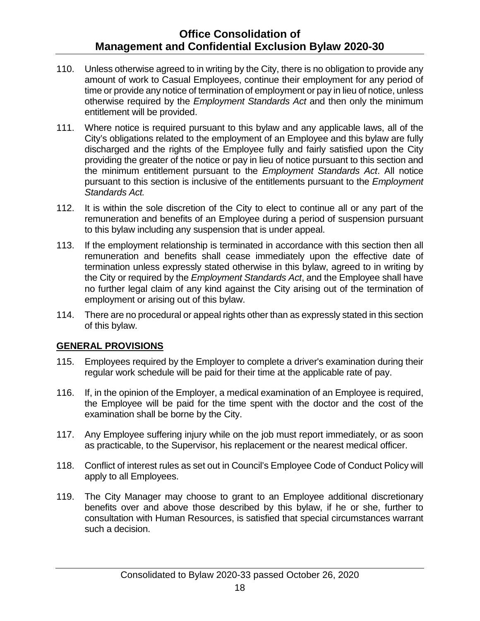- 110. Unless otherwise agreed to in writing by the City, there is no obligation to provide any amount of work to Casual Employees, continue their employment for any period of time or provide any notice of termination of employment or pay in lieu of notice, unless otherwise required by the *Employment Standards Act* and then only the minimum entitlement will be provided.
- 111. Where notice is required pursuant to this bylaw and any applicable laws, all of the City's obligations related to the employment of an Employee and this bylaw are fully discharged and the rights of the Employee fully and fairly satisfied upon the City providing the greater of the notice or pay in lieu of notice pursuant to this section and the minimum entitlement pursuant to the *Employment Standards Act*. All notice pursuant to this section is inclusive of the entitlements pursuant to the *Employment Standards Act.*
- 112. It is within the sole discretion of the City to elect to continue all or any part of the remuneration and benefits of an Employee during a period of suspension pursuant to this bylaw including any suspension that is under appeal.
- 113. If the employment relationship is terminated in accordance with this section then all remuneration and benefits shall cease immediately upon the effective date of termination unless expressly stated otherwise in this bylaw, agreed to in writing by the City or required by the *Employment Standards Act*, and the Employee shall have no further legal claim of any kind against the City arising out of the termination of employment or arising out of this bylaw.
- 114. There are no procedural or appeal rights other than as expressly stated in this section of this bylaw.

#### <span id="page-22-0"></span>**GENERAL PROVISIONS**

- 115. Employees required by the Employer to complete a driver's examination during their regular work schedule will be paid for their time at the applicable rate of pay.
- 116. If, in the opinion of the Employer, a medical examination of an Employee is required, the Employee will be paid for the time spent with the doctor and the cost of the examination shall be borne by the City.
- 117. Any Employee suffering injury while on the job must report immediately, or as soon as practicable, to the Supervisor, his replacement or the nearest medical officer.
- 118. Conflict of interest rules as set out in Council's Employee Code of Conduct Policy will apply to all Employees.
- 119. The City Manager may choose to grant to an Employee additional discretionary benefits over and above those described by this bylaw, if he or she, further to consultation with Human Resources, is satisfied that special circumstances warrant such a decision.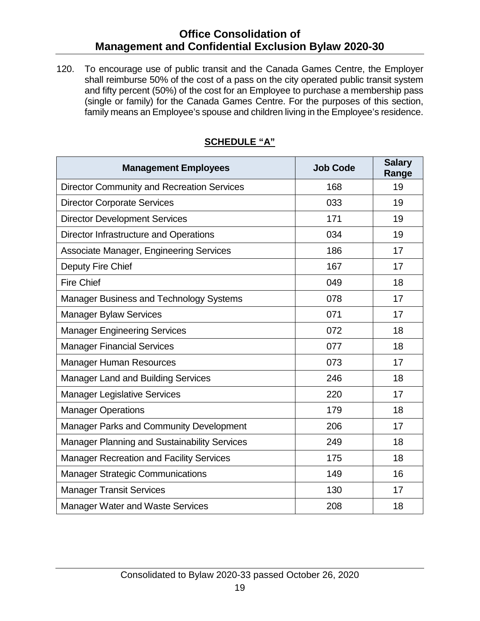120. To encourage use of public transit and the Canada Games Centre, the Employer shall reimburse 50% of the cost of a pass on the city operated public transit system and fifty percent (50%) of the cost for an Employee to purchase a membership pass (single or family) for the Canada Games Centre. For the purposes of this section, family means an Employee's spouse and children living in the Employee's residence.

<span id="page-23-0"></span>

| <b>Management Employees</b>                         | <b>Job Code</b> | <b>Salary</b><br>Range |
|-----------------------------------------------------|-----------------|------------------------|
| <b>Director Community and Recreation Services</b>   | 168             | 19                     |
| <b>Director Corporate Services</b>                  | 033             | 19                     |
| <b>Director Development Services</b>                | 171             | 19                     |
| Director Infrastructure and Operations              | 034             | 19                     |
| <b>Associate Manager, Engineering Services</b>      | 186             | 17                     |
| Deputy Fire Chief                                   | 167             | 17                     |
| <b>Fire Chief</b>                                   | 049             | 18                     |
| <b>Manager Business and Technology Systems</b>      | 078             | 17                     |
| <b>Manager Bylaw Services</b>                       | 071             | 17                     |
| <b>Manager Engineering Services</b>                 | 072             | 18                     |
| <b>Manager Financial Services</b>                   | 077             | 18                     |
| <b>Manager Human Resources</b>                      | 073             | 17                     |
| <b>Manager Land and Building Services</b>           | 246             | 18                     |
| <b>Manager Legislative Services</b>                 | 220             | 17                     |
| <b>Manager Operations</b>                           | 179             | 18                     |
| Manager Parks and Community Development             | 206             | 17                     |
| <b>Manager Planning and Sustainability Services</b> | 249             | 18                     |
| <b>Manager Recreation and Facility Services</b>     | 175             | 18                     |
| <b>Manager Strategic Communications</b>             | 149             | 16                     |
| <b>Manager Transit Services</b>                     | 130             | 17                     |
| <b>Manager Water and Waste Services</b>             | 208             | 18                     |

### **SCHEDULE "A"**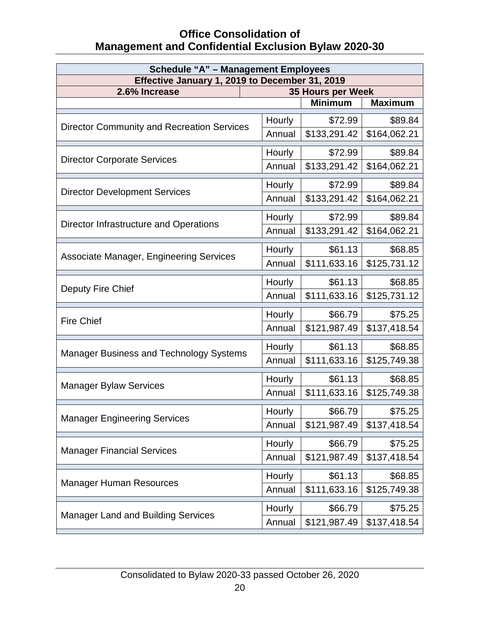| <b>Schedule "A" - Management Employees</b>                                           |        |                |                |  |
|--------------------------------------------------------------------------------------|--------|----------------|----------------|--|
| Effective January 1, 2019 to December 31, 2019<br>2.6% Increase<br>35 Hours per Week |        |                |                |  |
|                                                                                      |        | <b>Minimum</b> | <b>Maximum</b> |  |
|                                                                                      |        |                | \$89.84        |  |
| <b>Director Community and Recreation Services</b>                                    | Hourly | \$72.99        |                |  |
|                                                                                      | Annual | \$133,291.42   | \$164,062.21   |  |
| <b>Director Corporate Services</b>                                                   | Hourly | \$72.99        | \$89.84        |  |
|                                                                                      | Annual | \$133,291.42   | \$164,062.21   |  |
|                                                                                      | Hourly | \$72.99        | \$89.84        |  |
| <b>Director Development Services</b>                                                 | Annual | \$133,291.42   | \$164,062.21   |  |
|                                                                                      | Hourly | \$72.99        | \$89.84        |  |
| Director Infrastructure and Operations                                               | Annual | \$133,291.42   | \$164,062.21   |  |
|                                                                                      | Hourly | \$61.13        | \$68.85        |  |
| Associate Manager, Engineering Services                                              | Annual | \$111,633.16   | \$125,731.12   |  |
|                                                                                      | Hourly | \$61.13        | \$68.85        |  |
| Deputy Fire Chief                                                                    | Annual | \$111,633.16   | \$125,731.12   |  |
|                                                                                      | Hourly | \$66.79        | \$75.25        |  |
| <b>Fire Chief</b>                                                                    | Annual | \$121,987.49   | \$137,418.54   |  |
| <b>Manager Business and Technology Systems</b>                                       | Hourly | \$61.13        | \$68.85        |  |
|                                                                                      | Annual | \$111,633.16   | \$125,749.38   |  |
|                                                                                      | Hourly | \$61.13        | \$68.85        |  |
| <b>Manager Bylaw Services</b>                                                        | Annual | \$111,633.16   | \$125,749.38   |  |
|                                                                                      | Hourly | \$66.79        | \$75.25        |  |
| <b>Manager Engineering Services</b>                                                  | Annual | \$121,987.49   | \$137,418.54   |  |
|                                                                                      | Hourly | \$66.79        | \$75.25        |  |
| <b>Manager Financial Services</b>                                                    | Annual | \$121,987.49   | \$137,418.54   |  |
|                                                                                      | Hourly | \$61.13        | \$68.85        |  |
| <b>Manager Human Resources</b>                                                       | Annual | \$111,633.16   | \$125,749.38   |  |
| <b>Manager Land and Building Services</b>                                            | Hourly | \$66.79        | \$75.25        |  |
|                                                                                      | Annual | \$121,987.49   | \$137,418.54   |  |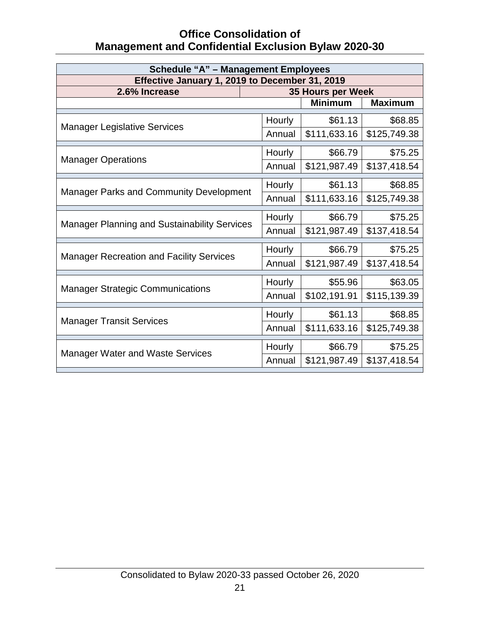| <b>Schedule "A" - Management Employees</b>          |  |                   |                |                |
|-----------------------------------------------------|--|-------------------|----------------|----------------|
| Effective January 1, 2019 to December 31, 2019      |  |                   |                |                |
| 2.6% Increase                                       |  | 35 Hours per Week |                |                |
|                                                     |  |                   | <b>Minimum</b> | <b>Maximum</b> |
|                                                     |  | Hourly            | \$61.13        | \$68.85        |
| <b>Manager Legislative Services</b>                 |  | Annual            | \$111,633.16   | \$125,749.38   |
|                                                     |  | Hourly            | \$66.79        | \$75.25        |
| <b>Manager Operations</b>                           |  | Annual            | \$121,987.49   | \$137,418.54   |
|                                                     |  | Hourly            | \$61.13        | \$68.85        |
| <b>Manager Parks and Community Development</b>      |  | Annual            | \$111,633.16   | \$125,749.38   |
|                                                     |  | Hourly            | \$66.79        | \$75.25        |
| <b>Manager Planning and Sustainability Services</b> |  | Annual            | \$121,987.49   | \$137,418.54   |
|                                                     |  | Hourly            | \$66.79        | \$75.25        |
| <b>Manager Recreation and Facility Services</b>     |  | Annual            | \$121,987.49   | \$137,418.54   |
|                                                     |  | Hourly            | \$55.96        | \$63.05        |
| <b>Manager Strategic Communications</b>             |  | Annual            | \$102,191.91   | \$115,139.39   |
|                                                     |  | Hourly            | \$61.13        | \$68.85        |
| <b>Manager Transit Services</b>                     |  | Annual            | \$111,633.16   | \$125,749.38   |
| <b>Manager Water and Waste Services</b>             |  | Hourly            | \$66.79        | \$75.25        |
|                                                     |  | Annual            | \$121,987.49   | \$137,418.54   |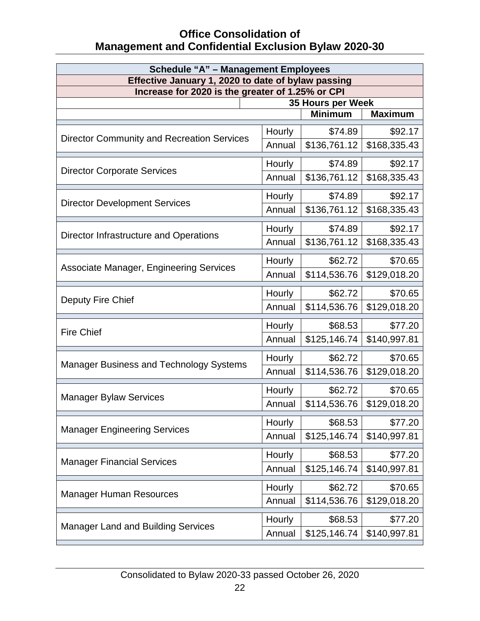| <b>Schedule "A" - Management Employees</b><br>Effective January 1, 2020 to date of bylaw passing |        |                |                |
|--------------------------------------------------------------------------------------------------|--------|----------------|----------------|
| Increase for 2020 is the greater of 1.25% or CPI                                                 |        |                |                |
| 35 Hours per Week                                                                                |        |                |                |
|                                                                                                  |        | <b>Minimum</b> | <b>Maximum</b> |
|                                                                                                  | Hourly | \$74.89        | \$92.17        |
| <b>Director Community and Recreation Services</b>                                                | Annual | \$136,761.12   | \$168,335.43   |
| <b>Director Corporate Services</b>                                                               | Hourly | \$74.89        | \$92.17        |
|                                                                                                  | Annual | \$136,761.12   | \$168,335.43   |
| <b>Director Development Services</b>                                                             | Hourly | \$74.89        | \$92.17        |
|                                                                                                  | Annual | \$136,761.12   | \$168,335.43   |
|                                                                                                  | Hourly | \$74.89        | \$92.17        |
| Director Infrastructure and Operations                                                           | Annual | \$136,761.12   | \$168,335.43   |
|                                                                                                  | Hourly | \$62.72        | \$70.65        |
| Associate Manager, Engineering Services                                                          | Annual | \$114,536.76   | \$129,018.20   |
|                                                                                                  | Hourly | \$62.72        | \$70.65        |
| Deputy Fire Chief                                                                                | Annual | \$114,536.76   | \$129,018.20   |
| <b>Fire Chief</b>                                                                                | Hourly | \$68.53        | \$77.20        |
|                                                                                                  | Annual | \$125,146.74   | \$140,997.81   |
| <b>Manager Business and Technology Systems</b>                                                   | Hourly | \$62.72        | \$70.65        |
|                                                                                                  | Annual | \$114,536.76   | \$129,018.20   |
|                                                                                                  | Hourly | \$62.72        | \$70.65        |
| <b>Manager Bylaw Services</b>                                                                    | Annual | \$114,536.76   | \$129,018.20   |
| <b>Manager Engineering Services</b>                                                              | Hourly | \$68.53        | \$77.20        |
|                                                                                                  | Annual | \$125,146.74   | \$140,997.81   |
| <b>Manager Financial Services</b>                                                                | Hourly | \$68.53        | \$77.20        |
|                                                                                                  | Annual | \$125,146.74   | \$140,997.81   |
| <b>Manager Human Resources</b>                                                                   | Hourly | \$62.72        | \$70.65        |
|                                                                                                  | Annual | \$114,536.76   | \$129,018.20   |
|                                                                                                  | Hourly | \$68.53        | \$77.20        |
| <b>Manager Land and Building Services</b>                                                        | Annual | \$125,146.74   | \$140,997.81   |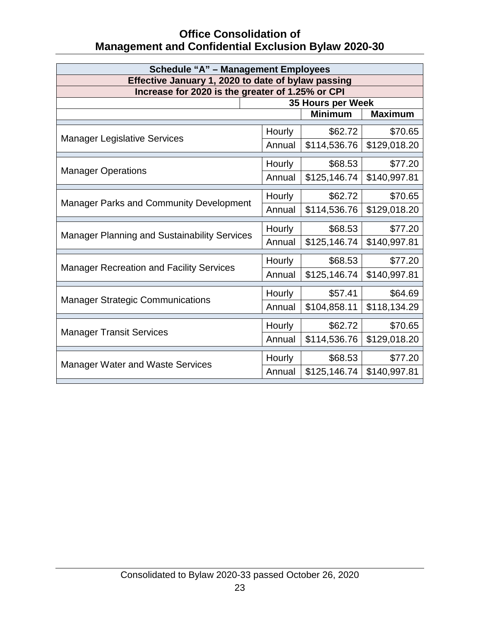| <b>Schedule "A" - Management Employees</b>                            |        |                |                |
|-----------------------------------------------------------------------|--------|----------------|----------------|
| Effective January 1, 2020 to date of bylaw passing                    |        |                |                |
| Increase for 2020 is the greater of 1.25% or CPI<br>35 Hours per Week |        |                |                |
|                                                                       |        | <b>Minimum</b> | <b>Maximum</b> |
|                                                                       |        |                |                |
| <b>Manager Legislative Services</b>                                   | Hourly | \$62.72        | \$70.65        |
|                                                                       | Annual | \$114,536.76   | \$129,018.20   |
|                                                                       | Hourly | \$68.53        | \$77.20        |
| <b>Manager Operations</b>                                             | Annual | \$125,146.74   | \$140,997.81   |
|                                                                       | Hourly | \$62.72        | \$70.65        |
| <b>Manager Parks and Community Development</b>                        | Annual | \$114,536.76   | \$129,018.20   |
|                                                                       | Hourly | \$68.53        | \$77.20        |
| <b>Manager Planning and Sustainability Services</b>                   | Annual | \$125,146.74   | \$140,997.81   |
|                                                                       | Hourly | \$68.53        | \$77.20        |
| <b>Manager Recreation and Facility Services</b>                       | Annual | \$125,146.74   | \$140,997.81   |
|                                                                       |        |                |                |
| <b>Manager Strategic Communications</b>                               | Hourly | \$57.41        | \$64.69        |
|                                                                       | Annual | \$104,858.11   | \$118,134.29   |
|                                                                       | Hourly | \$62.72        | \$70.65        |
| <b>Manager Transit Services</b>                                       | Annual | \$114,536.76   | \$129,018.20   |
| <b>Manager Water and Waste Services</b>                               | Hourly | \$68.53        | \$77.20        |
|                                                                       | Annual | \$125,146.74   | \$140,997.81   |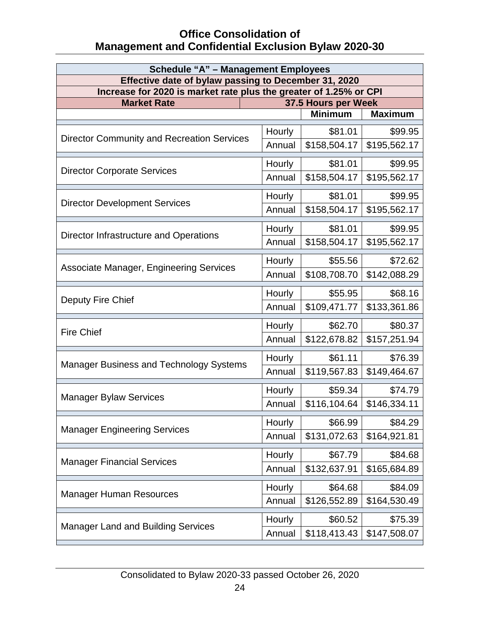| <b>Schedule "A" - Management Employees</b>                                               |        |                |                |
|------------------------------------------------------------------------------------------|--------|----------------|----------------|
| Effective date of bylaw passing to December 31, 2020                                     |        |                |                |
| Increase for 2020 is market rate plus the greater of 1.25% or CPI<br>37.5 Hours per Week |        |                |                |
| <b>Market Rate</b>                                                                       |        | <b>Minimum</b> | <b>Maximum</b> |
|                                                                                          |        |                |                |
| <b>Director Community and Recreation Services</b>                                        | Hourly | \$81.01        | \$99.95        |
|                                                                                          | Annual | \$158,504.17   | \$195,562.17   |
| <b>Director Corporate Services</b>                                                       | Hourly | \$81.01        | \$99.95        |
|                                                                                          | Annual | \$158,504.17   | \$195,562.17   |
|                                                                                          | Hourly | \$81.01        | \$99.95        |
| <b>Director Development Services</b>                                                     | Annual | \$158,504.17   | \$195,562.17   |
|                                                                                          | Hourly | \$81.01        | \$99.95        |
| Director Infrastructure and Operations                                                   | Annual | \$158,504.17   | \$195,562.17   |
|                                                                                          | Hourly | \$55.56        | \$72.62        |
| Associate Manager, Engineering Services                                                  | Annual | \$108,708.70   | \$142,088.29   |
|                                                                                          | Hourly | \$55.95        | \$68.16        |
| Deputy Fire Chief                                                                        | Annual | \$109,471.77   | \$133,361.86   |
|                                                                                          | Hourly | \$62.70        | \$80.37        |
| <b>Fire Chief</b>                                                                        | Annual | \$122,678.82   | \$157,251.94   |
|                                                                                          | Hourly | \$61.11        | \$76.39        |
| <b>Manager Business and Technology Systems</b>                                           | Annual | \$119,567.83   | \$149,464.67   |
|                                                                                          | Hourly | \$59.34        | \$74.79        |
| <b>Manager Bylaw Services</b>                                                            | Annual | \$116,104.64   | \$146,334.11   |
|                                                                                          | Hourly | \$66.99        | \$84.29        |
| <b>Manager Engineering Services</b>                                                      | Annual | \$131,072.63   | \$164,921.81   |
|                                                                                          | Hourly | \$67.79        | \$84.68        |
| <b>Manager Financial Services</b>                                                        | Annual | \$132,637.91   | \$165,684.89   |
|                                                                                          | Hourly | \$64.68        | \$84.09        |
| <b>Manager Human Resources</b>                                                           | Annual | \$126,552.89   | \$164,530.49   |
|                                                                                          | Hourly | \$60.52        | \$75.39        |
| <b>Manager Land and Building Services</b>                                                | Annual | \$118,413.43   | \$147,508.07   |
|                                                                                          |        |                |                |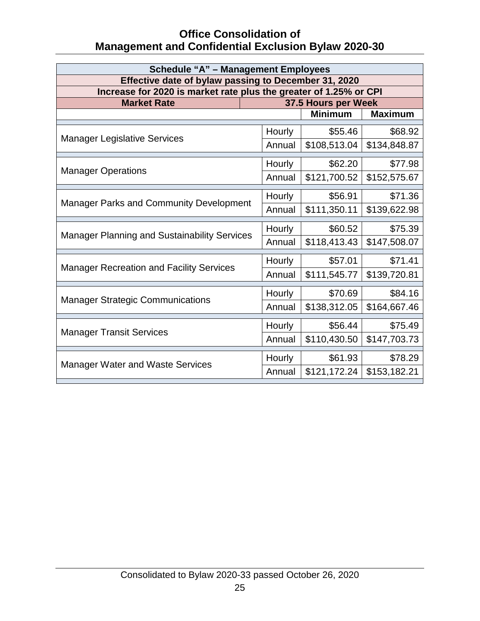| <b>Schedule "A" - Management Employees</b>                        |        |                                       |                |
|-------------------------------------------------------------------|--------|---------------------------------------|----------------|
| Effective date of bylaw passing to December 31, 2020              |        |                                       |                |
| Increase for 2020 is market rate plus the greater of 1.25% or CPI |        |                                       |                |
| <b>Market Rate</b>                                                |        | 37.5 Hours per Week<br><b>Minimum</b> | <b>Maximum</b> |
|                                                                   |        |                                       |                |
|                                                                   | Hourly | \$55.46                               | \$68.92        |
| <b>Manager Legislative Services</b>                               | Annual | \$108,513.04                          | \$134,848.87   |
|                                                                   | Hourly | \$62.20                               | \$77.98        |
| <b>Manager Operations</b>                                         | Annual | \$121,700.52                          | \$152,575.67   |
|                                                                   | Hourly | \$56.91                               | \$71.36        |
| <b>Manager Parks and Community Development</b>                    | Annual | \$111,350.11                          | \$139,622.98   |
|                                                                   | Hourly | \$60.52                               | \$75.39        |
| <b>Manager Planning and Sustainability Services</b>               | Annual | \$118,413.43                          | \$147,508.07   |
|                                                                   | Hourly | \$57.01                               | \$71.41        |
| <b>Manager Recreation and Facility Services</b>                   | Annual | \$111,545.77                          | \$139,720.81   |
|                                                                   | Hourly | \$70.69                               | \$84.16        |
| <b>Manager Strategic Communications</b>                           | Annual | \$138,312.05                          | \$164,667.46   |
|                                                                   | Hourly | \$56.44                               | \$75.49        |
| <b>Manager Transit Services</b>                                   | Annual | \$110,430.50                          | \$147,703.73   |
|                                                                   | Hourly | \$61.93                               | \$78.29        |
| <b>Manager Water and Waste Services</b>                           | Annual | \$121,172.24                          | \$153,182.21   |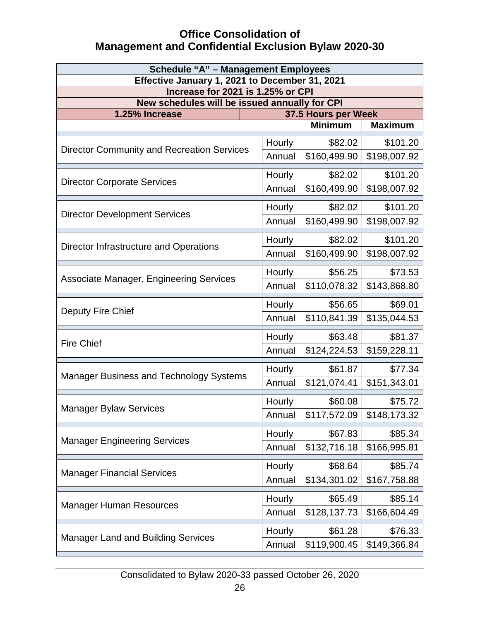| <b>Schedule "A" - Management Employees</b>                                          |        |                     |                |
|-------------------------------------------------------------------------------------|--------|---------------------|----------------|
| Effective January 1, 2021 to December 31, 2021<br>Increase for 2021 is 1.25% or CPI |        |                     |                |
| New schedules will be issued annually for CPI                                       |        |                     |                |
| 1.25% Increase                                                                      |        | 37.5 Hours per Week |                |
|                                                                                     |        | <b>Minimum</b>      | <b>Maximum</b> |
| <b>Director Community and Recreation Services</b>                                   | Hourly | \$82.02             | \$101.20       |
|                                                                                     | Annual | \$160,499.90        | \$198,007.92   |
| <b>Director Corporate Services</b>                                                  | Hourly | \$82.02             | \$101.20       |
|                                                                                     | Annual | \$160,499.90        | \$198,007.92   |
| <b>Director Development Services</b>                                                | Hourly | \$82.02             | \$101.20       |
|                                                                                     | Annual | \$160,499.90        | \$198,007.92   |
| Director Infrastructure and Operations                                              | Hourly | \$82.02             | \$101.20       |
|                                                                                     | Annual | \$160,499.90        | \$198,007.92   |
| Associate Manager, Engineering Services                                             | Hourly | \$56.25             | \$73.53        |
|                                                                                     | Annual | \$110,078.32        | \$143,868.80   |
| Deputy Fire Chief                                                                   | Hourly | \$56.65             | \$69.01        |
|                                                                                     | Annual | \$110,841.39        | \$135,044.53   |
| <b>Fire Chief</b>                                                                   | Hourly | \$63.48             | \$81.37        |
|                                                                                     | Annual | \$124,224.53        | \$159,228.11   |
| <b>Manager Business and Technology Systems</b>                                      | Hourly | \$61.87             | \$77.34        |
|                                                                                     | Annual | \$121,074.41        | \$151,343.01   |
| <b>Manager Bylaw Services</b>                                                       | Hourly | \$60.08             | \$75.72        |
|                                                                                     | Annual | \$117,572.09        | \$148,173.32   |
| <b>Manager Engineering Services</b>                                                 | Hourly | \$67.83             | \$85.34        |
|                                                                                     | Annual | \$132,716.18        | \$166,995.81   |
| <b>Manager Financial Services</b>                                                   | Hourly | \$68.64             | \$85.74        |
|                                                                                     | Annual | \$134,301.02        | \$167,758.88   |
| <b>Manager Human Resources</b>                                                      | Hourly | \$65.49             | \$85.14        |
|                                                                                     | Annual | \$128,137.73        | \$166,604.49   |
|                                                                                     | Hourly | \$61.28             | \$76.33        |
| <b>Manager Land and Building Services</b>                                           | Annual | \$119,900.45        | \$149,366.84   |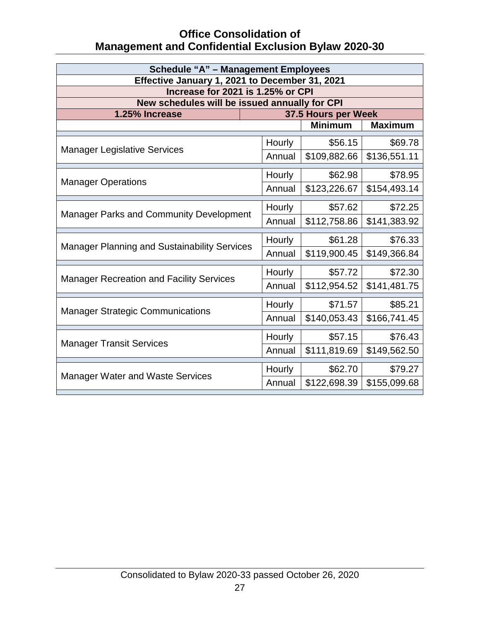| <b>Schedule "A" - Management Employees</b>          |        |                     |                |
|-----------------------------------------------------|--------|---------------------|----------------|
| Effective January 1, 2021 to December 31, 2021      |        |                     |                |
| Increase for 2021 is 1.25% or CPI                   |        |                     |                |
| New schedules will be issued annually for CPI       |        |                     |                |
| 1.25% Increase                                      |        | 37.5 Hours per Week |                |
|                                                     |        | <b>Minimum</b>      | <b>Maximum</b> |
| <b>Manager Legislative Services</b>                 | Hourly | \$56.15             | \$69.78        |
|                                                     | Annual | \$109,882.66        | \$136,551.11   |
|                                                     | Hourly | \$62.98             | \$78.95        |
| <b>Manager Operations</b>                           | Annual | \$123,226.67        | \$154,493.14   |
|                                                     | Hourly | \$57.62             | \$72.25        |
| <b>Manager Parks and Community Development</b>      | Annual | \$112,758.86        | \$141,383.92   |
|                                                     | Hourly | \$61.28             | \$76.33        |
| <b>Manager Planning and Sustainability Services</b> | Annual | \$119,900.45        | \$149,366.84   |
|                                                     | Hourly | \$57.72             | \$72.30        |
| <b>Manager Recreation and Facility Services</b>     |        |                     |                |
|                                                     | Annual | \$112,954.52        | \$141,481.75   |
|                                                     | Hourly | \$71.57             | \$85.21        |
| <b>Manager Strategic Communications</b>             | Annual | \$140,053.43        | \$166,741.45   |
|                                                     | Hourly | \$57.15             | \$76.43        |
| <b>Manager Transit Services</b>                     | Annual | \$111,819.69        | \$149,562.50   |
|                                                     | Hourly | \$62.70             | \$79.27        |
| <b>Manager Water and Waste Services</b>             | Annual | \$122,698.39        | \$155,099.68   |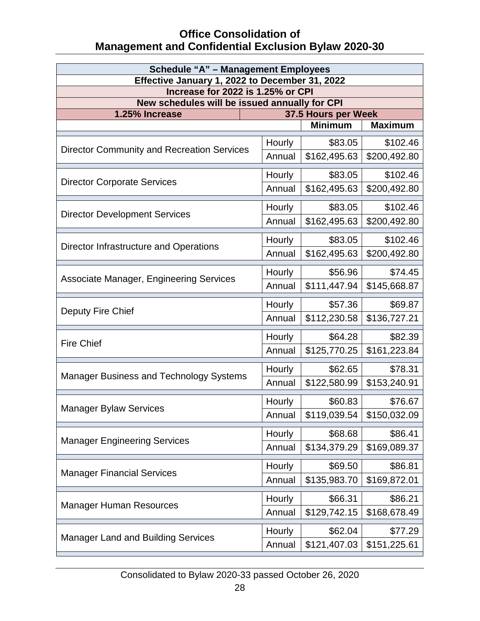| <b>Schedule "A" - Management Employees</b><br>Effective January 1, 2022 to December 31, 2022 |        |                     |                |
|----------------------------------------------------------------------------------------------|--------|---------------------|----------------|
| Increase for 2022 is 1.25% or CPI                                                            |        |                     |                |
| New schedules will be issued annually for CPI                                                |        |                     |                |
| 1.25% Increase                                                                               |        | 37.5 Hours per Week |                |
|                                                                                              |        | <b>Minimum</b>      | <b>Maximum</b> |
| <b>Director Community and Recreation Services</b>                                            | Hourly | \$83.05             | \$102.46       |
|                                                                                              | Annual | \$162,495.63        | \$200,492.80   |
| <b>Director Corporate Services</b>                                                           | Hourly | \$83.05             | \$102.46       |
|                                                                                              | Annual | \$162,495.63        | \$200,492.80   |
| <b>Director Development Services</b>                                                         | Hourly | \$83.05             | \$102.46       |
|                                                                                              | Annual | \$162,495.63        | \$200,492.80   |
| Director Infrastructure and Operations                                                       | Hourly | \$83.05             | \$102.46       |
|                                                                                              | Annual | \$162,495.63        | \$200,492.80   |
| Associate Manager, Engineering Services                                                      | Hourly | \$56.96             | \$74.45        |
|                                                                                              | Annual | \$111,447.94        | \$145,668.87   |
| Deputy Fire Chief                                                                            | Hourly | \$57.36             | \$69.87        |
|                                                                                              | Annual | \$112,230.58        | \$136,727.21   |
| <b>Fire Chief</b>                                                                            | Hourly | \$64.28             | \$82.39        |
|                                                                                              | Annual | \$125,770.25        | \$161,223.84   |
| <b>Manager Business and Technology Systems</b>                                               | Hourly | \$62.65             | \$78.31        |
|                                                                                              | Annual | \$122,580.99        | \$153,240.91   |
| <b>Manager Bylaw Services</b>                                                                | Hourly | \$60.83             | \$76.67        |
|                                                                                              | Annual | \$119,039.54        | \$150,032.09   |
| <b>Manager Engineering Services</b>                                                          | Hourly | \$68.68             | \$86.41        |
|                                                                                              | Annual | \$134,379.29        | \$169,089.37   |
|                                                                                              | Hourly | \$69.50             | \$86.81        |
| <b>Manager Financial Services</b>                                                            | Annual | \$135,983.70        | \$169,872.01   |
|                                                                                              | Hourly | \$66.31             | \$86.21        |
| <b>Manager Human Resources</b>                                                               | Annual | \$129,742.15        | \$168,678.49   |
| <b>Manager Land and Building Services</b>                                                    | Hourly | \$62.04             | \$77.29        |
|                                                                                              | Annual | \$121,407.03        | \$151,225.61   |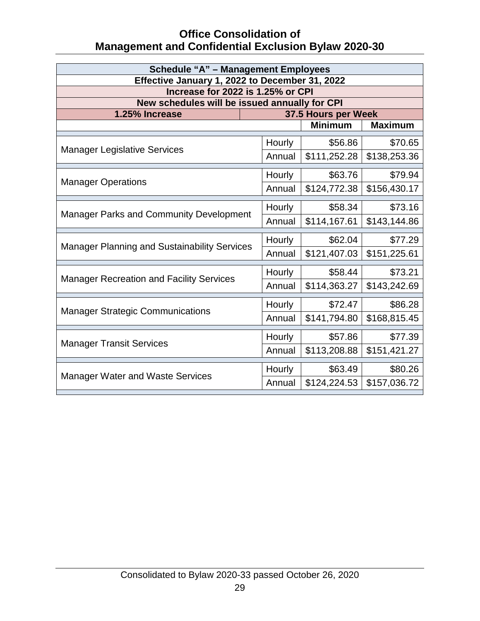| <b>Schedule "A" - Management Employees</b>                      |        |                     |                |
|-----------------------------------------------------------------|--------|---------------------|----------------|
| Effective January 1, 2022 to December 31, 2022                  |        |                     |                |
| Increase for 2022 is 1.25% or CPI                               |        |                     |                |
| New schedules will be issued annually for CPI<br>1.25% Increase |        | 37.5 Hours per Week |                |
|                                                                 |        | <b>Minimum</b>      | <b>Maximum</b> |
|                                                                 |        |                     |                |
| <b>Manager Legislative Services</b>                             | Hourly | \$56.86             | \$70.65        |
|                                                                 | Annual | \$111,252.28        | \$138,253.36   |
|                                                                 | Hourly | \$63.76             | \$79.94        |
| <b>Manager Operations</b>                                       | Annual | \$124,772.38        | \$156,430.17   |
|                                                                 | Hourly | \$58.34             | \$73.16        |
| Manager Parks and Community Development                         | Annual | \$114,167.61        | \$143,144.86   |
|                                                                 | Hourly | \$62.04             | \$77.29        |
| <b>Manager Planning and Sustainability Services</b>             | Annual | \$121,407.03        | \$151,225.61   |
|                                                                 |        |                     |                |
| <b>Manager Recreation and Facility Services</b>                 | Hourly | \$58.44             | \$73.21        |
|                                                                 | Annual | \$114,363.27        | \$143,242.69   |
|                                                                 | Hourly | \$72.47             | \$86.28        |
| <b>Manager Strategic Communications</b>                         | Annual | \$141,794.80        | \$168,815.45   |
|                                                                 | Hourly | \$57.86             | \$77.39        |
| <b>Manager Transit Services</b>                                 | Annual | \$113,208.88        | \$151,421.27   |
|                                                                 | Hourly | \$63.49             | \$80.26        |
| <b>Manager Water and Waste Services</b>                         | Annual | \$124,224.53        | \$157,036.72   |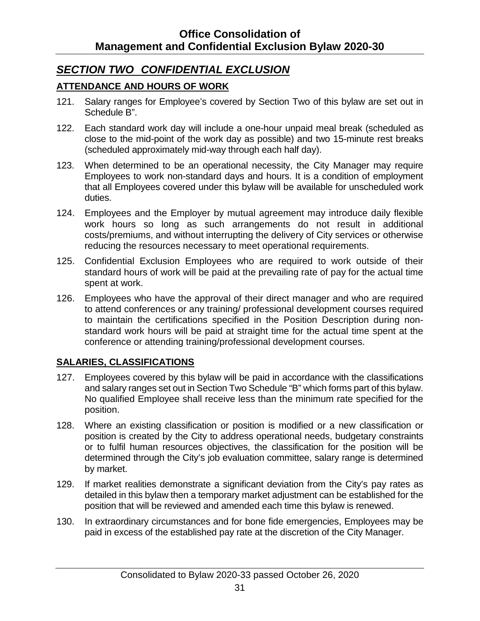### <span id="page-35-0"></span>*SECTION TWO CONFIDENTIAL EXCLUSION*

#### <span id="page-35-1"></span>**ATTENDANCE AND HOURS OF WORK**

- 121. Salary ranges for Employee's covered by Section Two of this bylaw are set out in Schedule B".
- 122. Each standard work day will include a one-hour unpaid meal break (scheduled as close to the mid-point of the work day as possible) and two 15-minute rest breaks (scheduled approximately mid-way through each half day).
- 123. When determined to be an operational necessity, the City Manager may require Employees to work non-standard days and hours. It is a condition of employment that all Employees covered under this bylaw will be available for unscheduled work duties.
- 124. Employees and the Employer by mutual agreement may introduce daily flexible work hours so long as such arrangements do not result in additional costs/premiums, and without interrupting the delivery of City services or otherwise reducing the resources necessary to meet operational requirements.
- 125. Confidential Exclusion Employees who are required to work outside of their standard hours of work will be paid at the prevailing rate of pay for the actual time spent at work.
- 126. Employees who have the approval of their direct manager and who are required to attend conferences or any training/ professional development courses required to maintain the certifications specified in the Position Description during nonstandard work hours will be paid at straight time for the actual time spent at the conference or attending training/professional development courses.

#### <span id="page-35-2"></span>**SALARIES, CLASSIFICATIONS**

- 127. Employees covered by this bylaw will be paid in accordance with the classifications and salary ranges set out in Section Two Schedule "B" which forms part of this bylaw. No qualified Employee shall receive less than the minimum rate specified for the position.
- 128. Where an existing classification or position is modified or a new classification or position is created by the City to address operational needs, budgetary constraints or to fulfil human resources objectives, the classification for the position will be determined through the City's job evaluation committee, salary range is determined by market.
- 129. If market realities demonstrate a significant deviation from the City's pay rates as detailed in this bylaw then a temporary market adjustment can be established for the position that will be reviewed and amended each time this bylaw is renewed.
- 130. In extraordinary circumstances and for bone fide emergencies, Employees may be paid in excess of the established pay rate at the discretion of the City Manager.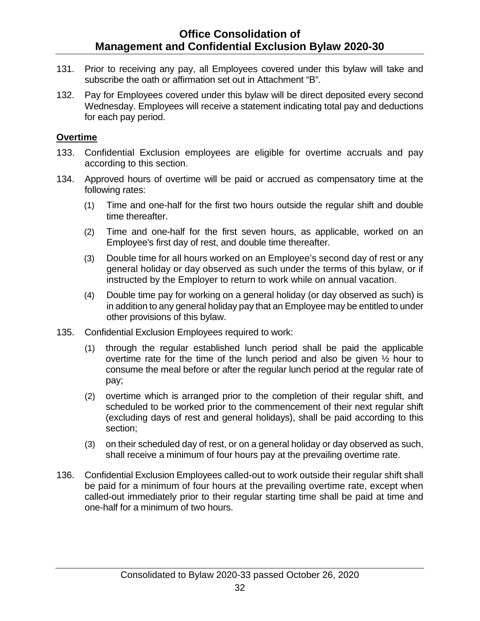- 131. Prior to receiving any pay, all Employees covered under this bylaw will take and subscribe the oath or affirmation set out in Attachment "B".
- 132. Pay for Employees covered under this bylaw will be direct deposited every second Wednesday. Employees will receive a statement indicating total pay and deductions for each pay period.

#### <span id="page-36-0"></span>**Overtime**

- 133. Confidential Exclusion employees are eligible for overtime accruals and pay according to this section.
- 134. Approved hours of overtime will be paid or accrued as compensatory time at the following rates:
	- (1) Time and one-half for the first two hours outside the regular shift and double time thereafter.
	- (2) Time and one-half for the first seven hours, as applicable, worked on an Employee's first day of rest, and double time thereafter.
	- (3) Double time for all hours worked on an Employee's second day of rest or any general holiday or day observed as such under the terms of this bylaw, or if instructed by the Employer to return to work while on annual vacation.
	- (4) Double time pay for working on a general holiday (or day observed as such) is in addition to any general holiday pay that an Employee may be entitled to under other provisions of this bylaw.
- 135. Confidential Exclusion Employees required to work:
	- (1) through the regular established lunch period shall be paid the applicable overtime rate for the time of the lunch period and also be given ½ hour to consume the meal before or after the regular lunch period at the regular rate of pay;
	- (2) overtime which is arranged prior to the completion of their regular shift, and scheduled to be worked prior to the commencement of their next regular shift (excluding days of rest and general holidays), shall be paid according to this section;
	- (3) on their scheduled day of rest, or on a general holiday or day observed as such, shall receive a minimum of four hours pay at the prevailing overtime rate.
- 136. Confidential Exclusion Employees called-out to work outside their regular shift shall be paid for a minimum of four hours at the prevailing overtime rate, except when called-out immediately prior to their regular starting time shall be paid at time and one-half for a minimum of two hours.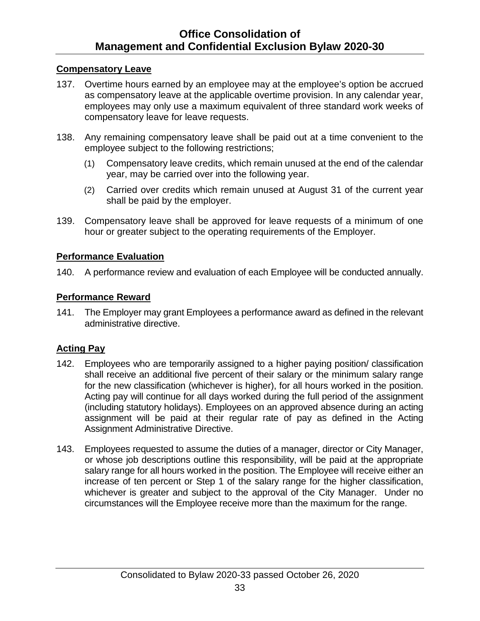#### <span id="page-37-0"></span>**Compensatory Leave**

- 137. Overtime hours earned by an employee may at the employee's option be accrued as compensatory leave at the applicable overtime provision. In any calendar year, employees may only use a maximum equivalent of three standard work weeks of compensatory leave for leave requests.
- 138. Any remaining compensatory leave shall be paid out at a time convenient to the employee subject to the following restrictions;
	- (1) Compensatory leave credits, which remain unused at the end of the calendar year, may be carried over into the following year.
	- (2) Carried over credits which remain unused at August 31 of the current year shall be paid by the employer.
- 139. Compensatory leave shall be approved for leave requests of a minimum of one hour or greater subject to the operating requirements of the Employer.

#### <span id="page-37-1"></span>**Performance Evaluation**

140. A performance review and evaluation of each Employee will be conducted annually.

#### <span id="page-37-2"></span>**Performance Reward**

141. The Employer may grant Employees a performance award as defined in the relevant administrative directive.

#### <span id="page-37-3"></span>**Acting Pay**

- 142. Employees who are temporarily assigned to a higher paying position/ classification shall receive an additional five percent of their salary or the minimum salary range for the new classification (whichever is higher), for all hours worked in the position. Acting pay will continue for all days worked during the full period of the assignment (including statutory holidays). Employees on an approved absence during an acting assignment will be paid at their regular rate of pay as defined in the Acting Assignment Administrative Directive.
- 143. Employees requested to assume the duties of a manager, director or City Manager, or whose job descriptions outline this responsibility, will be paid at the appropriate salary range for all hours worked in the position. The Employee will receive either an increase of ten percent or Step 1 of the salary range for the higher classification, whichever is greater and subject to the approval of the City Manager. Under no circumstances will the Employee receive more than the maximum for the range.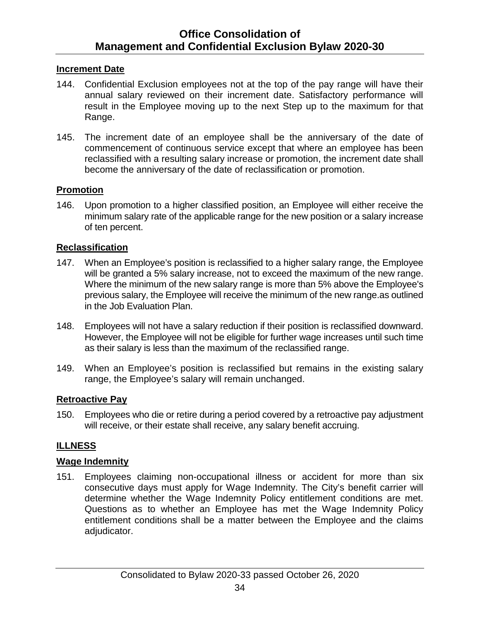#### <span id="page-38-0"></span>**Increment Date**

- 144. Confidential Exclusion employees not at the top of the pay range will have their annual salary reviewed on their increment date. Satisfactory performance will result in the Employee moving up to the next Step up to the maximum for that Range.
- 145. The increment date of an employee shall be the anniversary of the date of commencement of continuous service except that where an employee has been reclassified with a resulting salary increase or promotion, the increment date shall become the anniversary of the date of reclassification or promotion.

#### <span id="page-38-1"></span>**Promotion**

146. Upon promotion to a higher classified position, an Employee will either receive the minimum salary rate of the applicable range for the new position or a salary increase of ten percent.

#### <span id="page-38-2"></span>**Reclassification**

- 147. When an Employee's position is reclassified to a higher salary range, the Employee will be granted a 5% salary increase, not to exceed the maximum of the new range. Where the minimum of the new salary range is more than 5% above the Employee's previous salary, the Employee will receive the minimum of the new range.as outlined in the Job Evaluation Plan.
- 148. Employees will not have a salary reduction if their position is reclassified downward. However, the Employee will not be eligible for further wage increases until such time as their salary is less than the maximum of the reclassified range.
- 149. When an Employee's position is reclassified but remains in the existing salary range, the Employee's salary will remain unchanged.

#### <span id="page-38-3"></span>**Retroactive Pay**

150. Employees who die or retire during a period covered by a retroactive pay adjustment will receive, or their estate shall receive, any salary benefit accruing.

#### <span id="page-38-4"></span>**ILLNESS**

#### <span id="page-38-5"></span>**Wage Indemnity**

151. Employees claiming non-occupational illness or accident for more than six consecutive days must apply for Wage Indemnity. The City's benefit carrier will determine whether the Wage Indemnity Policy entitlement conditions are met. Questions as to whether an Employee has met the Wage Indemnity Policy entitlement conditions shall be a matter between the Employee and the claims adjudicator.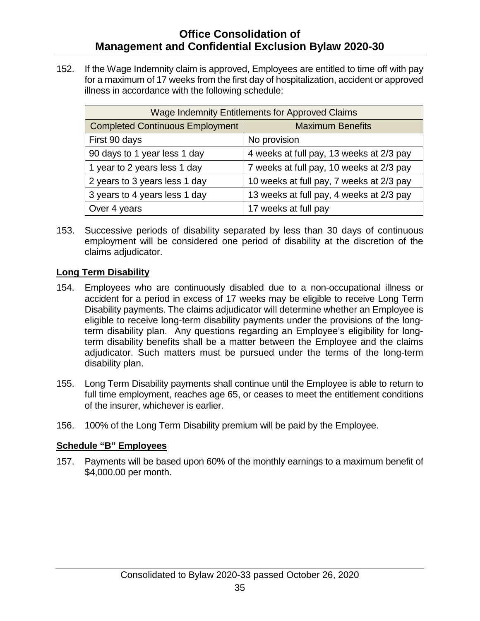152. If the Wage Indemnity claim is approved, Employees are entitled to time off with pay for a maximum of 17 weeks from the first day of hospitalization, accident or approved illness in accordance with the following schedule:

| Wage Indemnity Entitlements for Approved Claims |                                          |  |
|-------------------------------------------------|------------------------------------------|--|
| <b>Completed Continuous Employment</b>          | <b>Maximum Benefits</b>                  |  |
| First 90 days                                   | No provision                             |  |
| 90 days to 1 year less 1 day                    | 4 weeks at full pay, 13 weeks at 2/3 pay |  |
| 1 year to 2 years less 1 day                    | 7 weeks at full pay, 10 weeks at 2/3 pay |  |
| 2 years to 3 years less 1 day                   | 10 weeks at full pay, 7 weeks at 2/3 pay |  |
| 3 years to 4 years less 1 day                   | 13 weeks at full pay, 4 weeks at 2/3 pay |  |
| Over 4 years                                    | 17 weeks at full pay                     |  |

153. Successive periods of disability separated by less than 30 days of continuous employment will be considered one period of disability at the discretion of the claims adjudicator.

#### <span id="page-39-0"></span>**Long Term Disability**

- 154. Employees who are continuously disabled due to a non-occupational illness or accident for a period in excess of 17 weeks may be eligible to receive Long Term Disability payments. The claims adjudicator will determine whether an Employee is eligible to receive long-term disability payments under the provisions of the longterm disability plan. Any questions regarding an Employee's eligibility for longterm disability benefits shall be a matter between the Employee and the claims adjudicator. Such matters must be pursued under the terms of the long-term disability plan.
- 155. Long Term Disability payments shall continue until the Employee is able to return to full time employment, reaches age 65, or ceases to meet the entitlement conditions of the insurer, whichever is earlier.
- 156. 100% of the Long Term Disability premium will be paid by the Employee.

#### **Schedule "B" Employees**

157. Payments will be based upon 60% of the monthly earnings to a maximum benefit of \$4,000.00 per month.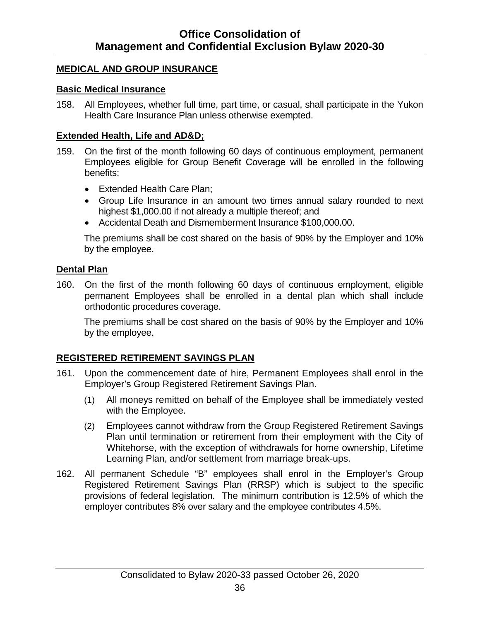#### <span id="page-40-0"></span>**MEDICAL AND GROUP INSURANCE**

#### <span id="page-40-1"></span>**Basic Medical Insurance**

158. All Employees, whether full time, part time, or casual, shall participate in the Yukon Health Care Insurance Plan unless otherwise exempted.

#### <span id="page-40-2"></span>**Extended Health, Life and AD&D;**

- 159. On the first of the month following 60 days of continuous employment, permanent Employees eligible for Group Benefit Coverage will be enrolled in the following benefits:
	- Extended Health Care Plan;
	- Group Life Insurance in an amount two times annual salary rounded to next highest \$1,000.00 if not already a multiple thereof; and
	- Accidental Death and Dismemberment Insurance \$100,000.00.

The premiums shall be cost shared on the basis of 90% by the Employer and 10% by the employee.

#### <span id="page-40-3"></span>**Dental Plan**

160. On the first of the month following 60 days of continuous employment, eligible permanent Employees shall be enrolled in a dental plan which shall include orthodontic procedures coverage.

The premiums shall be cost shared on the basis of 90% by the Employer and 10% by the employee.

#### <span id="page-40-4"></span>**REGISTERED RETIREMENT SAVINGS PLAN**

- 161. Upon the commencement date of hire, Permanent Employees shall enrol in the Employer's Group Registered Retirement Savings Plan.
	- (1) All moneys remitted on behalf of the Employee shall be immediately vested with the Employee.
	- (2) Employees cannot withdraw from the Group Registered Retirement Savings Plan until termination or retirement from their employment with the City of Whitehorse, with the exception of withdrawals for home ownership, Lifetime Learning Plan, and/or settlement from marriage break-ups.
- 162. All permanent Schedule "B" employees shall enrol in the Employer's Group Registered Retirement Savings Plan (RRSP) which is subject to the specific provisions of federal legislation. The minimum contribution is 12.5% of which the employer contributes 8% over salary and the employee contributes 4.5%.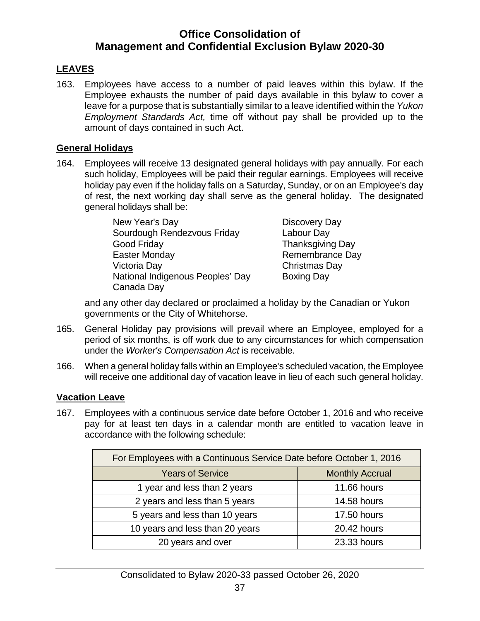#### <span id="page-41-0"></span>**LEAVES**

163. Employees have access to a number of paid leaves within this bylaw. If the Employee exhausts the number of paid days available in this bylaw to cover a leave for a purpose that is substantially similar to a leave identified within the *Yukon Employment Standards Act,* time off without pay shall be provided up to the amount of days contained in such Act.

#### <span id="page-41-1"></span>**General Holidays**

164. Employees will receive 13 designated general holidays with pay annually. For each such holiday, Employees will be paid their regular earnings. Employees will receive holiday pay even if the holiday falls on a Saturday, Sunday, or on an Employee's day of rest, the next working day shall serve as the general holiday. The designated general holidays shall be:

| New Year's Day                   | Discovery Day           |
|----------------------------------|-------------------------|
| Sourdough Rendezvous Friday      | Labour Day              |
| Good Friday                      | <b>Thanksgiving Day</b> |
| <b>Easter Monday</b>             | Remembrance Day         |
| Victoria Day                     | Christmas Day           |
| National Indigenous Peoples' Day | <b>Boxing Day</b>       |
| Canada Day                       |                         |

and any other day declared or proclaimed a holiday by the Canadian or Yukon governments or the City of Whitehorse.

- 165. General Holiday pay provisions will prevail where an Employee, employed for a period of six months, is off work due to any circumstances for which compensation under the *Worker's Compensation Act* is receivable.
- 166. When a general holiday falls within an Employee's scheduled vacation, the Employee will receive one additional day of vacation leave in lieu of each such general holiday.

#### <span id="page-41-2"></span>**Vacation Leave**

167. Employees with a continuous service date before October 1, 2016 and who receive pay for at least ten days in a calendar month are entitled to vacation leave in accordance with the following schedule:

| For Employees with a Continuous Service Date before October 1, 2016 |                        |
|---------------------------------------------------------------------|------------------------|
| <b>Years of Service</b>                                             | <b>Monthly Accrual</b> |
| 1 year and less than 2 years                                        | <b>11.66 hours</b>     |
| 2 years and less than 5 years                                       | 14.58 hours            |
| 5 years and less than 10 years                                      | 17.50 hours            |
| 10 years and less than 20 years                                     | 20.42 hours            |
| 20 years and over                                                   | 23.33 hours            |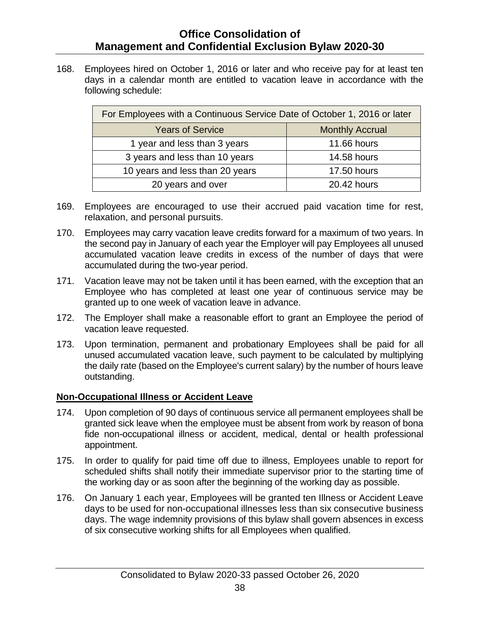168. Employees hired on October 1, 2016 or later and who receive pay for at least ten days in a calendar month are entitled to vacation leave in accordance with the following schedule:

| For Employees with a Continuous Service Date of October 1, 2016 or later |                        |
|--------------------------------------------------------------------------|------------------------|
| <b>Years of Service</b>                                                  | <b>Monthly Accrual</b> |
| 1 year and less than 3 years                                             | <b>11.66 hours</b>     |
| 3 years and less than 10 years                                           | <b>14.58 hours</b>     |
| 10 years and less than 20 years                                          | 17.50 hours            |
| 20 years and over                                                        | 20.42 hours            |

- 169. Employees are encouraged to use their accrued paid vacation time for rest, relaxation, and personal pursuits.
- 170. Employees may carry vacation leave credits forward for a maximum of two years. In the second pay in January of each year the Employer will pay Employees all unused accumulated vacation leave credits in excess of the number of days that were accumulated during the two-year period.
- 171. Vacation leave may not be taken until it has been earned, with the exception that an Employee who has completed at least one year of continuous service may be granted up to one week of vacation leave in advance.
- 172. The Employer shall make a reasonable effort to grant an Employee the period of vacation leave requested.
- 173. Upon termination, permanent and probationary Employees shall be paid for all unused accumulated vacation leave, such payment to be calculated by multiplying the daily rate (based on the Employee's current salary) by the number of hours leave outstanding.

#### <span id="page-42-0"></span>**Non-Occupational Illness or Accident Leave**

- 174. Upon completion of 90 days of continuous service all permanent employees shall be granted sick leave when the employee must be absent from work by reason of bona fide non-occupational illness or accident, medical, dental or health professional appointment.
- 175. In order to qualify for paid time off due to illness, Employees unable to report for scheduled shifts shall notify their immediate supervisor prior to the starting time of the working day or as soon after the beginning of the working day as possible.
- 176. On January 1 each year, Employees will be granted ten Illness or Accident Leave days to be used for non-occupational illnesses less than six consecutive business days. The wage indemnity provisions of this bylaw shall govern absences in excess of six consecutive working shifts for all Employees when qualified.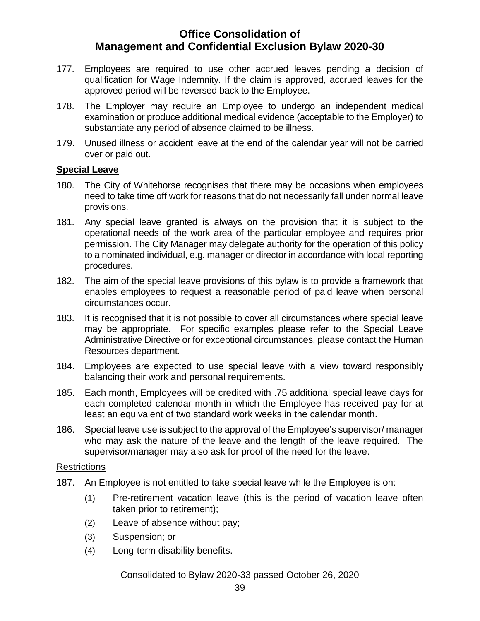- 177. Employees are required to use other accrued leaves pending a decision of qualification for Wage Indemnity. If the claim is approved, accrued leaves for the approved period will be reversed back to the Employee.
- 178. The Employer may require an Employee to undergo an independent medical examination or produce additional medical evidence (acceptable to the Employer) to substantiate any period of absence claimed to be illness.
- 179. Unused illness or accident leave at the end of the calendar year will not be carried over or paid out.

#### <span id="page-43-0"></span>**Special Leave**

- 180. The City of Whitehorse recognises that there may be occasions when employees need to take time off work for reasons that do not necessarily fall under normal leave provisions.
- 181. Any special leave granted is always on the provision that it is subject to the operational needs of the work area of the particular employee and requires prior permission. The City Manager may delegate authority for the operation of this policy to a nominated individual, e.g. manager or director in accordance with local reporting procedures.
- 182. The aim of the [special leave provisions](https://www.hr.admin.cam.ac.uk/files/special_leave_policy_printable_01.10.19.pdf) of this bylaw is to provide a framework that enables employees to request a reasonable period of paid leave when personal circumstances occur.
- 183. It is recognised that it is not possible to cover all circumstances where special leave may be appropriate. For specific examples please refer to the Special Leave Administrative Directive or for exceptional circumstances, please contact the Human Resources department.
- 184. Employees are expected to use special leave with a view toward responsibly balancing their work and personal requirements.
- 185. Each month, Employees will be credited with .75 additional special leave days for each completed calendar month in which the Employee has received pay for at least an equivalent of two standard work weeks in the calendar month.
- 186. Special leave use is subject to the approval of the Employee's supervisor/ manager who may ask the nature of the leave and the length of the leave required. The supervisor/manager may also ask for proof of the need for the leave.

#### **Restrictions**

- 187. An Employee is not entitled to take special leave while the Employee is on:
	- (1) Pre-retirement vacation leave (this is the period of vacation leave often taken prior to retirement);
	- (2) Leave of absence without pay;
	- (3) Suspension; or
	- (4) Long-term disability benefits.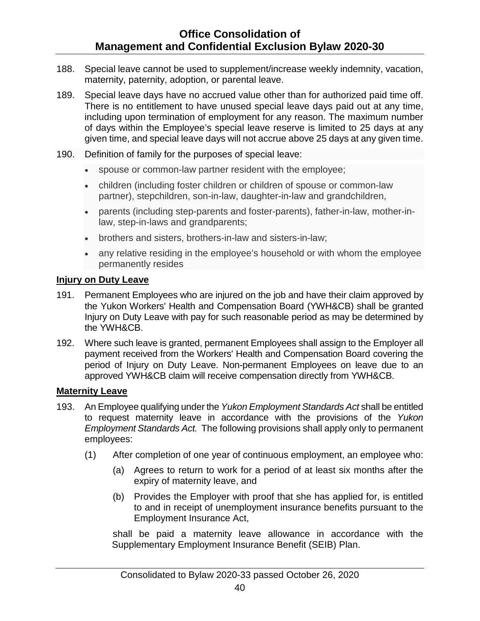- 188. Special leave cannot be used to supplement/increase weekly indemnity, vacation, maternity, paternity, adoption, or parental leave.
- 189. Special leave days have no accrued value other than for authorized paid time off. There is no entitlement to have unused special leave days paid out at any time, including upon termination of employment for any reason. The maximum number of days within the Employee's special leave reserve is limited to 25 days at any given time, and special leave days will not accrue above 25 days at any given time.
- 190. Definition of family for the purposes of special leave:
	- spouse or common-law partner resident with the employee;
	- children (including foster children or children of spouse or common-law partner), stepchildren, son-in-law, daughter-in-law and grandchildren,
	- parents (including step-parents and foster-parents), father-in-law, mother-inlaw, step-in-laws and grandparents;
	- brothers and sisters, brothers-in-law and sisters-in-law;
	- any relative residing in the employee's household or with whom the employee permanently resides

#### <span id="page-44-0"></span>**Injury on Duty Leave**

- 191. Permanent Employees who are injured on the job and have their claim approved by the Yukon Workers' Health and Compensation Board (YWH&CB) shall be granted Injury on Duty Leave with pay for such reasonable period as may be determined by the YWH&CB.
- 192. Where such leave is granted, permanent Employees shall assign to the Employer all payment received from the Workers' Health and Compensation Board covering the period of Injury on Duty Leave. Non-permanent Employees on leave due to an approved YWH&CB claim will receive compensation directly from YWH&CB.

#### <span id="page-44-1"></span>**Maternity Leave**

- 193. An Employee qualifying under the *Yukon Employment Standards Act* shall be entitled to request maternity leave in accordance with the provisions of the *Yukon Employment Standards Act.* The following provisions shall apply only to permanent employees:
	- (1) After completion of one year of continuous employment, an employee who:
		- (a) Agrees to return to work for a period of at least six months after the expiry of maternity leave, and
		- (b) Provides the Employer with proof that she has applied for, is entitled to and in receipt of unemployment insurance benefits pursuant to the Employment Insurance Act,

shall be paid a maternity leave allowance in accordance with the Supplementary Employment Insurance Benefit (SEIB) Plan.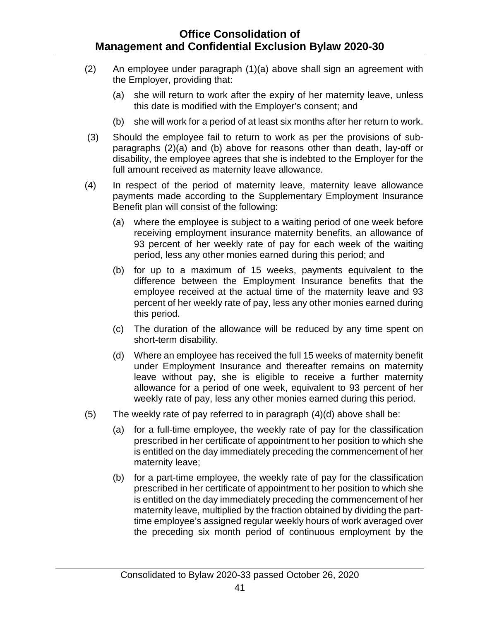- (2) An employee under paragraph (1)(a) above shall sign an agreement with the Employer, providing that:
	- (a) she will return to work after the expiry of her maternity leave, unless this date is modified with the Employer's consent; and
	- (b) she will work for a period of at least six months after her return to work.
- (3) Should the employee fail to return to work as per the provisions of subparagraphs (2)(a) and (b) above for reasons other than death, lay-off or disability, the employee agrees that she is indebted to the Employer for the full amount received as maternity leave allowance.
- (4) In respect of the period of maternity leave, maternity leave allowance payments made according to the Supplementary Employment Insurance Benefit plan will consist of the following:
	- (a) where the employee is subject to a waiting period of one week before receiving employment insurance maternity benefits, an allowance of 93 percent of her weekly rate of pay for each week of the waiting period, less any other monies earned during this period; and
	- (b) for up to a maximum of 15 weeks, payments equivalent to the difference between the Employment Insurance benefits that the employee received at the actual time of the maternity leave and 93 percent of her weekly rate of pay, less any other monies earned during this period.
	- (c) The duration of the allowance will be reduced by any time spent on short-term disability.
	- (d) Where an employee has received the full 15 weeks of maternity benefit under Employment Insurance and thereafter remains on maternity leave without pay, she is eligible to receive a further maternity allowance for a period of one week, equivalent to 93 percent of her weekly rate of pay, less any other monies earned during this period.
- (5) The weekly rate of pay referred to in paragraph  $(4)(d)$  above shall be:
	- (a) for a full-time employee, the weekly rate of pay for the classification prescribed in her certificate of appointment to her position to which she is entitled on the day immediately preceding the commencement of her maternity leave;
	- (b) for a part-time employee, the weekly rate of pay for the classification prescribed in her certificate of appointment to her position to which she is entitled on the day immediately preceding the commencement of her maternity leave, multiplied by the fraction obtained by dividing the parttime employee's assigned regular weekly hours of work averaged over the preceding six month period of continuous employment by the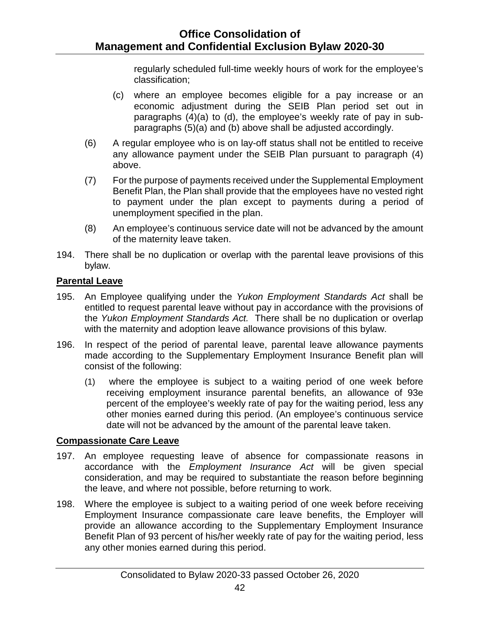regularly scheduled full-time weekly hours of work for the employee's classification;

- (c) where an employee becomes eligible for a pay increase or an economic adjustment during the SEIB Plan period set out in paragraphs (4)(a) to (d), the employee's weekly rate of pay in subparagraphs (5)(a) and (b) above shall be adjusted accordingly.
- (6) A regular employee who is on lay-off status shall not be entitled to receive any allowance payment under the SEIB Plan pursuant to paragraph (4) above.
- (7) For the purpose of payments received under the Supplemental Employment Benefit Plan, the Plan shall provide that the employees have no vested right to payment under the plan except to payments during a period of unemployment specified in the plan.
- (8) An employee's continuous service date will not be advanced by the amount of the maternity leave taken.
- 194. There shall be no duplication or overlap with the parental leave provisions of this bylaw.

#### <span id="page-46-0"></span>**Parental Leave**

- 195. An Employee qualifying under the *Yukon Employment Standards Act* shall be entitled to request parental leave without pay in accordance with the provisions of the *Yukon Employment Standards Act.* There shall be no duplication or overlap with the maternity and adoption leave allowance provisions of this bylaw.
- 196. In respect of the period of parental leave, parental leave allowance payments made according to the Supplementary Employment Insurance Benefit plan will consist of the following:
	- (1) where the employee is subject to a waiting period of one week before receiving employment insurance parental benefits, an allowance of 93e percent of the employee's weekly rate of pay for the waiting period, less any other monies earned during this period. (An employee's continuous service date will not be advanced by the amount of the parental leave taken.

#### <span id="page-46-1"></span>**Compassionate Care Leave**

- 197. An employee requesting leave of absence for compassionate reasons in accordance with the *Employment Insurance Act* will be given special consideration, and may be required to substantiate the reason before beginning the leave, and where not possible, before returning to work.
- 198. Where the employee is subject to a waiting period of one week before receiving Employment Insurance compassionate care leave benefits, the Employer will provide an allowance according to the Supplementary Employment Insurance Benefit Plan of 93 percent of his/her weekly rate of pay for the waiting period, less any other monies earned during this period.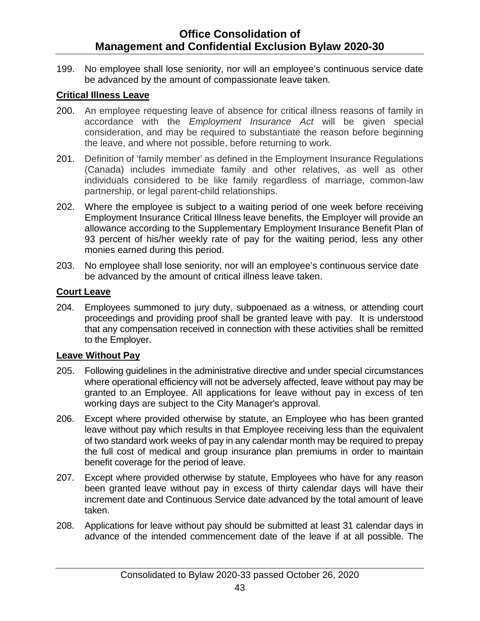199. No employee shall lose seniority, nor will an employee's continuous service date be advanced by the amount of compassionate leave taken.

#### <span id="page-47-0"></span>**Critical Illness Leave**

- 200. An employee requesting leave of absence for critical illness reasons of family in accordance with the *Employment Insurance Act* will be given special consideration, and may be required to substantiate the reason before beginning the leave, and where not possible, before returning to work.
- 201. Definition of 'family member' as defined in the Employment Insurance Regulations (Canada) includes immediate family and other relatives, as well as other individuals considered to be like family regardless of marriage, common-law partnership, or legal parent-child relationships.
- 202. Where the employee is subject to a waiting period of one week before receiving Employment Insurance Critical Illness leave benefits, the Employer will provide an allowance according to the Supplementary Employment Insurance Benefit Plan of 93 percent of his/her weekly rate of pay for the waiting period, less any other monies earned during this period.
- 203. No employee shall lose seniority, nor will an employee's continuous service date be advanced by the amount of critical illness leave taken.

#### <span id="page-47-1"></span>**Court Leave**

204. Employees summoned to jury duty, subpoenaed as a witness, or attending court proceedings and providing proof shall be granted leave with pay. It is understood that any compensation received in connection with these activities shall be remitted to the Employer.

#### <span id="page-47-2"></span>**Leave Without Pay**

- 205. Following guidelines in the administrative directive and under special circumstances where operational efficiency will not be adversely affected, leave without pay may be granted to an Employee. All applications for leave without pay in excess of ten working days are subject to the City Manager's approval.
- 206. Except where provided otherwise by statute, an Employee who has been granted leave without pay which results in that Employee receiving less than the equivalent of two standard work weeks of pay in any calendar month may be required to prepay the full cost of medical and group insurance plan premiums in order to maintain benefit coverage for the period of leave.
- 207. Except where provided otherwise by statute, Employees who have for any reason been granted leave without pay in excess of thirty calendar days will have their increment date and Continuous Service date advanced by the total amount of leave taken.
- 208. Applications for leave without pay should be submitted at least 31 calendar days in advance of the intended commencement date of the leave if at all possible. The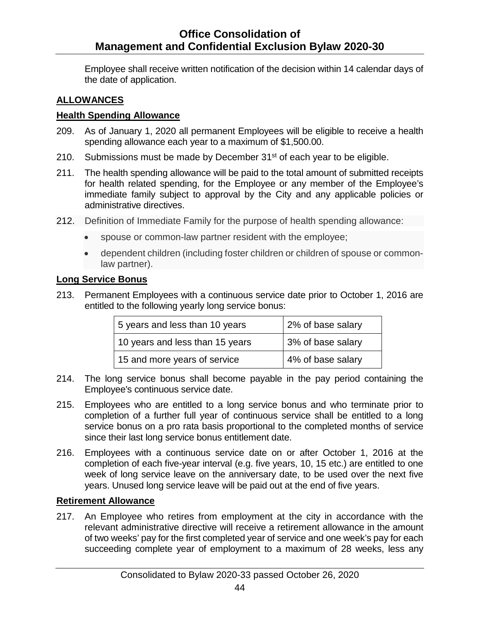Employee shall receive written notification of the decision within 14 calendar days of the date of application.

#### <span id="page-48-0"></span>**ALLOWANCES**

#### <span id="page-48-1"></span>**Health Spending Allowance**

- 209. As of January 1, 2020 all permanent Employees will be eligible to receive a health spending allowance each year to a maximum of \$1,500.00.
- 210. Submissions must be made by December 31<sup>st</sup> of each year to be eligible.
- 211. The health spending allowance will be paid to the total amount of submitted receipts for health related spending, for the Employee or any member of the Employee's immediate family subject to approval by the City and any applicable policies or administrative directives.
- 212. Definition of Immediate Family for the purpose of health spending allowance:
	- spouse or common-law partner resident with the employee;
	- dependent children (including foster children or children of spouse or commonlaw partner).

#### <span id="page-48-2"></span>**Long Service Bonus**

213. Permanent Employees with a continuous service date prior to October 1, 2016 are entitled to the following yearly long service bonus:

| 5 years and less than 10 years  | 2% of base salary |
|---------------------------------|-------------------|
| 10 years and less than 15 years | 3% of base salary |
| 15 and more years of service    | 4% of base salary |

- 214. The long service bonus shall become payable in the pay period containing the Employee's continuous service date.
- 215. Employees who are entitled to a long service bonus and who terminate prior to completion of a further full year of continuous service shall be entitled to a long service bonus on a pro rata basis proportional to the completed months of service since their last long service bonus entitlement date.
- 216. Employees with a continuous service date on or after October 1, 2016 at the completion of each five-year interval (e.g. five years, 10, 15 etc.) are entitled to one week of long service leave on the anniversary date, to be used over the next five years. Unused long service leave will be paid out at the end of five years.

#### <span id="page-48-3"></span>**Retirement Allowance**

217. An Employee who retires from employment at the city in accordance with the relevant administrative directive will receive a retirement allowance in the amount of two weeks' pay for the first completed year of service and one week's pay for each succeeding complete year of employment to a maximum of 28 weeks, less any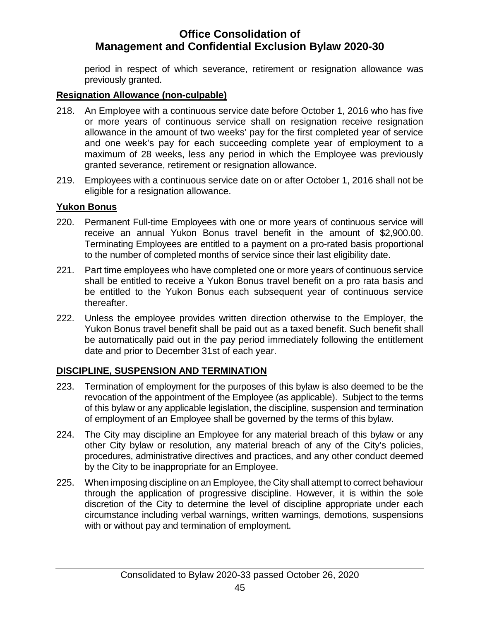period in respect of which severance, retirement or resignation allowance was previously granted.

#### <span id="page-49-0"></span>**Resignation Allowance (non-culpable)**

- 218. An Employee with a continuous service date before October 1, 2016 who has five or more years of continuous service shall on resignation receive resignation allowance in the amount of two weeks' pay for the first completed year of service and one week's pay for each succeeding complete year of employment to a maximum of 28 weeks, less any period in which the Employee was previously granted severance, retirement or resignation allowance.
- 219. Employees with a continuous service date on or after October 1, 2016 shall not be eligible for a resignation allowance.

#### <span id="page-49-1"></span>**Yukon Bonus**

- 220. Permanent Full-time Employees with one or more years of continuous service will receive an annual Yukon Bonus travel benefit in the amount of \$2,900.00. Terminating Employees are entitled to a payment on a pro-rated basis proportional to the number of completed months of service since their last eligibility date.
- 221. Part time employees who have completed one or more years of continuous service shall be entitled to receive a Yukon Bonus travel benefit on a pro rata basis and be entitled to the Yukon Bonus each subsequent year of continuous service thereafter.
- 222. Unless the employee provides written direction otherwise to the Employer, the Yukon Bonus travel benefit shall be paid out as a taxed benefit. Such benefit shall be automatically paid out in the pay period immediately following the entitlement date and prior to December 31st of each year.

#### <span id="page-49-2"></span>**DISCIPLINE, SUSPENSION AND TERMINATION**

- 223. Termination of employment for the purposes of this bylaw is also deemed to be the revocation of the appointment of the Employee (as applicable). Subject to the terms of this bylaw or any applicable legislation, the discipline, suspension and termination of employment of an Employee shall be governed by the terms of this bylaw.
- 224. The City may discipline an Employee for any material breach of this bylaw or any other City bylaw or resolution, any material breach of any of the City's policies, procedures, administrative directives and practices, and any other conduct deemed by the City to be inappropriate for an Employee.
- 225. When imposing discipline on an Employee, the City shall attempt to correct behaviour through the application of progressive discipline. However, it is within the sole discretion of the City to determine the level of discipline appropriate under each circumstance including verbal warnings, written warnings, demotions, suspensions with or without pay and termination of employment.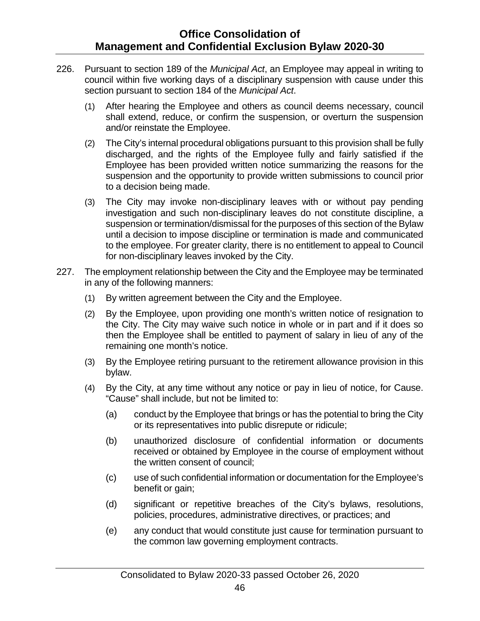- 226. Pursuant to section 189 of the *Municipal Act*, an Employee may appeal in writing to council within five working days of a disciplinary suspension with cause under this section pursuant to section 184 of the *Municipal Act*.
	- (1) After hearing the Employee and others as council deems necessary, council shall extend, reduce, or confirm the suspension, or overturn the suspension and/or reinstate the Employee.
	- (2) The City's internal procedural obligations pursuant to this provision shall be fully discharged, and the rights of the Employee fully and fairly satisfied if the Employee has been provided written notice summarizing the reasons for the suspension and the opportunity to provide written submissions to council prior to a decision being made.
	- (3) The City may invoke non-disciplinary leaves with or without pay pending investigation and such non-disciplinary leaves do not constitute discipline, a suspension or termination/dismissal for the purposes of this section of the Bylaw until a decision to impose discipline or termination is made and communicated to the employee. For greater clarity, there is no entitlement to appeal to Council for non-disciplinary leaves invoked by the City.
- 227. The employment relationship between the City and the Employee may be terminated in any of the following manners:
	- (1) By written agreement between the City and the Employee.
	- (2) By the Employee, upon providing one month's written notice of resignation to the City. The City may waive such notice in whole or in part and if it does so then the Employee shall be entitled to payment of salary in lieu of any of the remaining one month's notice.
	- (3) By the Employee retiring pursuant to the retirement allowance provision in this bylaw.
	- (4) By the City, at any time without any notice or pay in lieu of notice, for Cause. "Cause" shall include, but not be limited to:
		- (a) conduct by the Employee that brings or has the potential to bring the City or its representatives into public disrepute or ridicule;
		- (b) unauthorized disclosure of confidential information or documents received or obtained by Employee in the course of employment without the written consent of council;
		- (c) use of such confidential information or documentation for the Employee's benefit or gain;
		- (d) significant or repetitive breaches of the City's bylaws, resolutions, policies, procedures, administrative directives, or practices; and
		- (e) any conduct that would constitute just cause for termination pursuant to the common law governing employment contracts.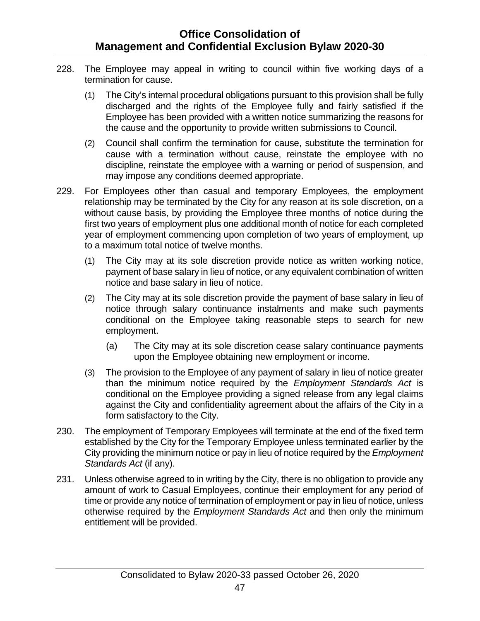- 228. The Employee may appeal in writing to council within five working days of a termination for cause.
	- (1) The City's internal procedural obligations pursuant to this provision shall be fully discharged and the rights of the Employee fully and fairly satisfied if the Employee has been provided with a written notice summarizing the reasons for the cause and the opportunity to provide written submissions to Council.
	- (2) Council shall confirm the termination for cause, substitute the termination for cause with a termination without cause, reinstate the employee with no discipline, reinstate the employee with a warning or period of suspension, and may impose any conditions deemed appropriate.
- 229. For Employees other than casual and temporary Employees, the employment relationship may be terminated by the City for any reason at its sole discretion, on a without cause basis, by providing the Employee three months of notice during the first two years of employment plus one additional month of notice for each completed year of employment commencing upon completion of two years of employment, up to a maximum total notice of twelve months.
	- (1) The City may at its sole discretion provide notice as written working notice, payment of base salary in lieu of notice, or any equivalent combination of written notice and base salary in lieu of notice.
	- (2) The City may at its sole discretion provide the payment of base salary in lieu of notice through salary continuance instalments and make such payments conditional on the Employee taking reasonable steps to search for new employment.
		- (a) The City may at its sole discretion cease salary continuance payments upon the Employee obtaining new employment or income.
	- (3) The provision to the Employee of any payment of salary in lieu of notice greater than the minimum notice required by the *Employment Standards Act* is conditional on the Employee providing a signed release from any legal claims against the City and confidentiality agreement about the affairs of the City in a form satisfactory to the City.
- 230. The employment of Temporary Employees will terminate at the end of the fixed term established by the City for the Temporary Employee unless terminated earlier by the City providing the minimum notice or pay in lieu of notice required by the *Employment Standards Act* (if any).
- 231. Unless otherwise agreed to in writing by the City, there is no obligation to provide any amount of work to Casual Employees, continue their employment for any period of time or provide any notice of termination of employment or pay in lieu of notice, unless otherwise required by the *Employment Standards Act* and then only the minimum entitlement will be provided.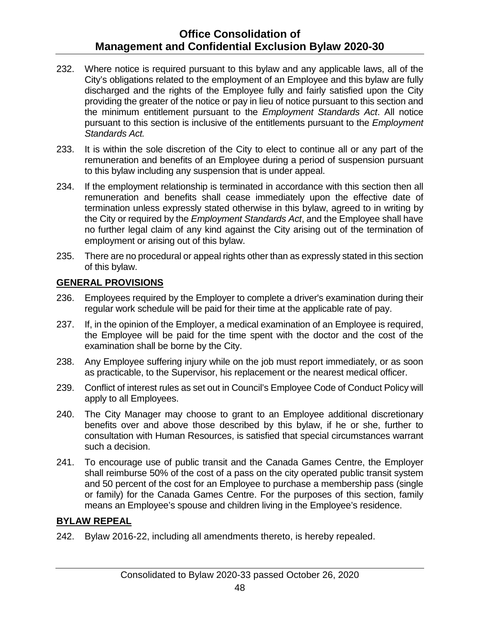- 232. Where notice is required pursuant to this bylaw and any applicable laws, all of the City's obligations related to the employment of an Employee and this bylaw are fully discharged and the rights of the Employee fully and fairly satisfied upon the City providing the greater of the notice or pay in lieu of notice pursuant to this section and the minimum entitlement pursuant to the *Employment Standards Act*. All notice pursuant to this section is inclusive of the entitlements pursuant to the *Employment Standards Act.*
- 233. It is within the sole discretion of the City to elect to continue all or any part of the remuneration and benefits of an Employee during a period of suspension pursuant to this bylaw including any suspension that is under appeal.
- 234. If the employment relationship is terminated in accordance with this section then all remuneration and benefits shall cease immediately upon the effective date of termination unless expressly stated otherwise in this bylaw, agreed to in writing by the City or required by the *Employment Standards Act*, and the Employee shall have no further legal claim of any kind against the City arising out of the termination of employment or arising out of this bylaw.
- 235. There are no procedural or appeal rights other than as expressly stated in this section of this bylaw.

#### <span id="page-52-0"></span>**GENERAL PROVISIONS**

- 236. Employees required by the Employer to complete a driver's examination during their regular work schedule will be paid for their time at the applicable rate of pay.
- 237. If, in the opinion of the Employer, a medical examination of an Employee is required, the Employee will be paid for the time spent with the doctor and the cost of the examination shall be borne by the City.
- 238. Any Employee suffering injury while on the job must report immediately, or as soon as practicable, to the Supervisor, his replacement or the nearest medical officer.
- 239. Conflict of interest rules as set out in Council's Employee Code of Conduct Policy will apply to all Employees.
- 240. The City Manager may choose to grant to an Employee additional discretionary benefits over and above those described by this bylaw, if he or she, further to consultation with Human Resources, is satisfied that special circumstances warrant such a decision.
- 241. To encourage use of public transit and the Canada Games Centre, the Employer shall reimburse 50% of the cost of a pass on the city operated public transit system and 50 percent of the cost for an Employee to purchase a membership pass (single or family) for the Canada Games Centre. For the purposes of this section, family means an Employee's spouse and children living in the Employee's residence.

#### <span id="page-52-1"></span>**BYLAW REPEAL**

242. Bylaw 2016-22, including all amendments thereto, is hereby repealed.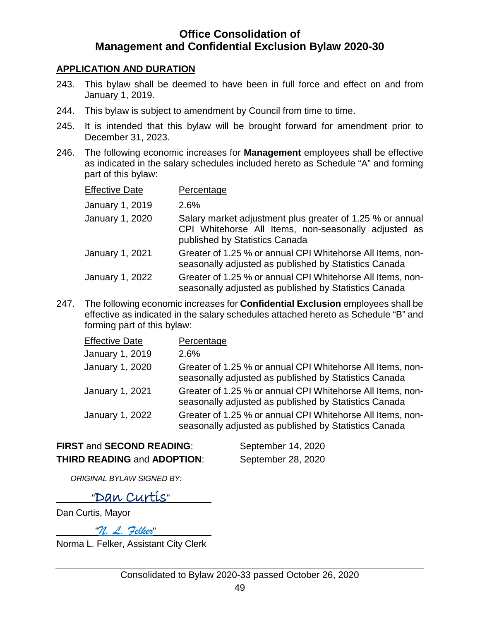#### <span id="page-53-0"></span>**APPLICATION AND DURATION**

- 243. This bylaw shall be deemed to have been in full force and effect on and from January 1, 2019.
- 244. This bylaw is subject to amendment by Council from time to time.
- 245. It is intended that this bylaw will be brought forward for amendment prior to December 31, 2023.
- 246. The following economic increases for **Management** employees shall be effective as indicated in the salary schedules included hereto as Schedule "A" and forming part of this bylaw:

| <b>Effective Date</b> | Percentage                                                                                                                                          |
|-----------------------|-----------------------------------------------------------------------------------------------------------------------------------------------------|
| January 1, 2019       | 2.6%                                                                                                                                                |
| January 1, 2020       | Salary market adjustment plus greater of 1.25 % or annual<br>CPI Whitehorse All Items, non-seasonally adjusted as<br>published by Statistics Canada |
| January 1, 2021       | Greater of 1.25 % or annual CPI Whitehorse All Items, non-<br>seasonally adjusted as published by Statistics Canada                                 |
| January 1, 2022       | Greater of 1.25 % or annual CPI Whitehorse All Items, non-<br>seasonally adjusted as published by Statistics Canada                                 |

247. The following economic increases for **Confidential Exclusion** employees shall be effective as indicated in the salary schedules attached hereto as Schedule "B" and forming part of this bylaw:

| <b>Effective Date</b> | Percentage                                                                                                          |
|-----------------------|---------------------------------------------------------------------------------------------------------------------|
| January 1, 2019       | $2.6\%$                                                                                                             |
| January 1, 2020       | Greater of 1.25 % or annual CPI Whitehorse All Items, non-<br>seasonally adjusted as published by Statistics Canada |
| January 1, 2021       | Greater of 1.25 % or annual CPI Whitehorse All Items, non-<br>seasonally adjusted as published by Statistics Canada |
| January 1, 2022       | Greater of 1.25 % or annual CPI Whitehorse All Items, non-<br>seasonally adjusted as published by Statistics Canada |

### **FIRST** and **SECOND READING**: September 14, 2020 **THIRD READING** and **ADOPTION**: September 28, 2020

*ORIGINAL BYLAW SIGNED BY:*

## "Dan Curtis"

Dan Curtis, Mayor

"*N. L. Felker*"

Norma L. Felker, Assistant City Clerk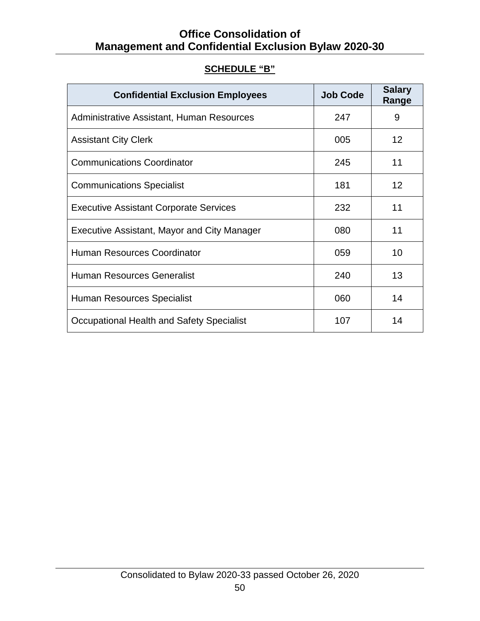|  | <b>SCHEDULE "B"</b> |  |
|--|---------------------|--|
|  |                     |  |

<span id="page-54-0"></span>

| <b>Confidential Exclusion Employees</b>            | <b>Job Code</b> | <b>Salary</b><br>Range |
|----------------------------------------------------|-----------------|------------------------|
| Administrative Assistant, Human Resources          | 247             | 9                      |
| <b>Assistant City Clerk</b>                        | 005             | 12 <sup>2</sup>        |
| <b>Communications Coordinator</b>                  | 245             | 11                     |
| <b>Communications Specialist</b>                   | 181             | 12 <sup>2</sup>        |
| <b>Executive Assistant Corporate Services</b>      | 232             | 11                     |
| <b>Executive Assistant, Mayor and City Manager</b> | 080             | 11                     |
| <b>Human Resources Coordinator</b>                 | 059             | 10                     |
| <b>Human Resources Generalist</b>                  | 240             | 13                     |
| Human Resources Specialist                         | 060             | 14                     |
| Occupational Health and Safety Specialist          | 107             | 14                     |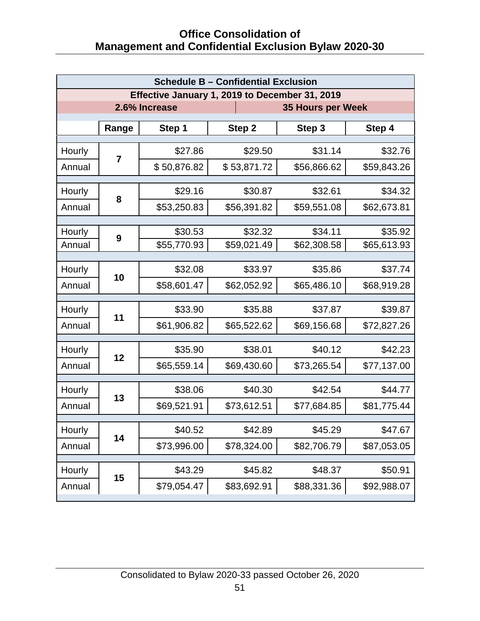| <b>Schedule B - Confidential Exclusion</b>     |                |             |             |                          |             |  |  |
|------------------------------------------------|----------------|-------------|-------------|--------------------------|-------------|--|--|
| Effective January 1, 2019 to December 31, 2019 |                |             |             |                          |             |  |  |
| 2.6% Increase                                  |                |             |             | <b>35 Hours per Week</b> |             |  |  |
|                                                | Range          | Step 1      | Step 2      | Step 3                   | Step 4      |  |  |
| Hourly                                         |                | \$27.86     | \$29.50     | \$31.14                  | \$32.76     |  |  |
| Annual                                         | $\overline{7}$ | \$50,876.82 | \$53,871.72 | \$56,866.62              | \$59,843.26 |  |  |
|                                                |                |             |             |                          |             |  |  |
| Hourly                                         | 8              | \$29.16     | \$30.87     | \$32.61                  | \$34.32     |  |  |
| Annual                                         |                | \$53,250.83 | \$56,391.82 | \$59,551.08              | \$62,673.81 |  |  |
|                                                |                | \$30.53     |             | \$34.11                  | \$35.92     |  |  |
| Hourly<br>Annual                               | 9              |             | \$32.32     |                          | \$65,613.93 |  |  |
|                                                |                | \$55,770.93 | \$59,021.49 | \$62,308.58              |             |  |  |
| Hourly                                         | 10             | \$32.08     | \$33.97     | \$35.86                  | \$37.74     |  |  |
| Annual                                         |                | \$58,601.47 | \$62,052.92 | \$65,486.10              | \$68,919.28 |  |  |
| Hourly                                         |                | \$33.90     | \$35.88     | \$37.87                  | \$39.87     |  |  |
| Annual                                         | 11             | \$61,906.82 | \$65,522.62 | \$69,156.68              | \$72,827.26 |  |  |
|                                                |                |             |             |                          |             |  |  |
| Hourly                                         | 12             | \$35.90     | \$38.01     | \$40.12                  | \$42.23     |  |  |
| Annual                                         |                | \$65,559.14 | \$69,430.60 | \$73,265.54              | \$77,137.00 |  |  |
| Hourly                                         |                | \$38.06     | \$40.30     | \$42.54                  | \$44.77     |  |  |
| Annual                                         | 13             | \$69,521.91 | \$73,612.51 | \$77,684.85              | \$81,775.44 |  |  |
| Hourly                                         |                | \$40.52     | \$42.89     | \$45.29                  | \$47.67     |  |  |
|                                                | 14             |             |             |                          |             |  |  |
| Annual                                         |                | \$73,996.00 | \$78,324.00 | \$82,706.79              | \$87,053.05 |  |  |
| Hourly                                         | 15             | \$43.29     | \$45.82     | \$48.37                  | \$50.91     |  |  |
| Annual                                         |                | \$79,054.47 | \$83,692.91 | \$88,331.36              | \$92,988.07 |  |  |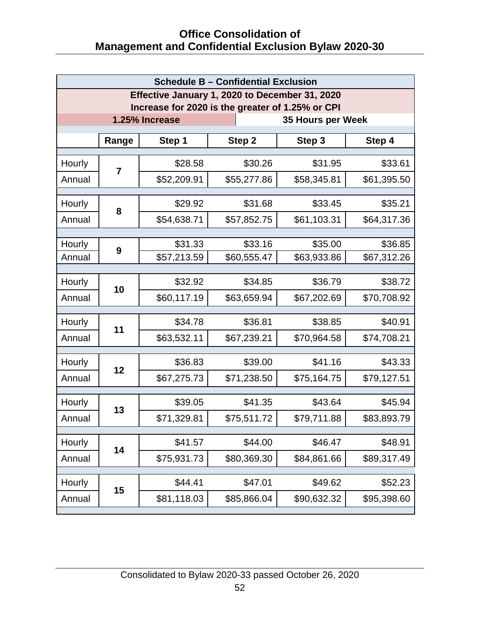| <b>Schedule B - Confidential Exclusion</b>       |                |             |             |             |             |  |  |
|--------------------------------------------------|----------------|-------------|-------------|-------------|-------------|--|--|
| Effective January 1, 2020 to December 31, 2020   |                |             |             |             |             |  |  |
| Increase for 2020 is the greater of 1.25% or CPI |                |             |             |             |             |  |  |
| 1.25% Increase<br>35 Hours per Week              |                |             |             |             |             |  |  |
|                                                  | Range          | Step 1      | Step 2      | Step 3      | Step 4      |  |  |
| Hourly                                           |                | \$28.58     | \$30.26     | \$31.95     | \$33.61     |  |  |
| Annual                                           | $\overline{7}$ | \$52,209.91 | \$55,277.86 | \$58,345.81 | \$61,395.50 |  |  |
|                                                  |                |             |             |             |             |  |  |
| Hourly                                           | 8              | \$29.92     | \$31.68     | \$33.45     | \$35.21     |  |  |
| Annual                                           |                | \$54,638.71 | \$57,852.75 | \$61,103.31 | \$64,317.36 |  |  |
|                                                  |                | \$31.33     | \$33.16     | \$35.00     | \$36.85     |  |  |
| Hourly<br>Annual                                 | 9              | \$57,213.59 | \$60,555.47 | \$63,933.86 | \$67,312.26 |  |  |
|                                                  |                |             |             |             |             |  |  |
| Hourly                                           | 10             | \$32.92     | \$34.85     | \$36.79     | \$38.72     |  |  |
| Annual                                           |                | \$60,117.19 | \$63,659.94 | \$67,202.69 | \$70,708.92 |  |  |
| Hourly                                           |                | \$34.78     | \$36.81     | \$38.85     | \$40.91     |  |  |
| Annual                                           | 11             | \$63,532.11 | \$67,239.21 | \$70,964.58 | \$74,708.21 |  |  |
|                                                  |                |             |             |             |             |  |  |
| Hourly                                           | 12             | \$36.83     | \$39.00     | \$41.16     | \$43.33     |  |  |
| Annual                                           |                | \$67,275.73 | \$71,238.50 | \$75,164.75 | \$79,127.51 |  |  |
| Hourly                                           |                | \$39.05     | \$41.35     | \$43.64     | \$45.94     |  |  |
| Annual                                           | 13             | \$71,329.81 | \$75,511.72 | \$79,711.88 | \$83,893.79 |  |  |
|                                                  |                |             |             |             |             |  |  |
| Hourly                                           | 14             | \$41.57     | \$44.00     | \$46.47     | \$48.91     |  |  |
| Annual                                           |                | \$75,931.73 | \$80,369.30 | \$84,861.66 | \$89,317.49 |  |  |
| Hourly                                           |                | \$44.41     | \$47.01     | \$49.62     | \$52.23     |  |  |
| Annual                                           | 15             | \$81,118.03 | \$85,866.04 | \$90,632.32 | \$95,398.60 |  |  |
|                                                  |                |             |             |             |             |  |  |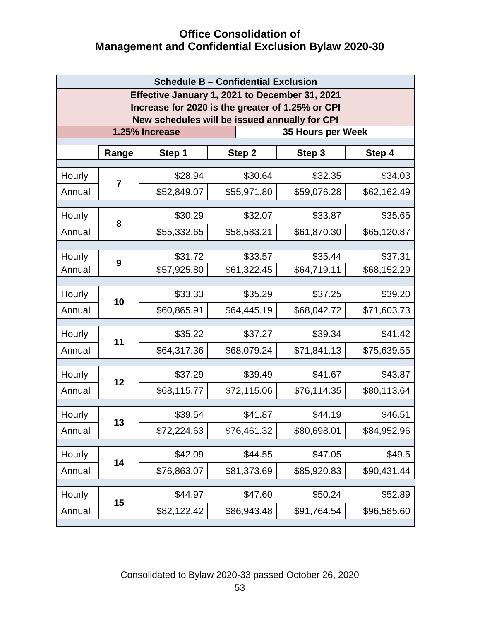| <b>Schedule B - Confidential Exclusion</b>     |                                                            |                                                            |                                                            |                                                                                                                                                                 |  |
|------------------------------------------------|------------------------------------------------------------|------------------------------------------------------------|------------------------------------------------------------|-----------------------------------------------------------------------------------------------------------------------------------------------------------------|--|
| Effective January 1, 2021 to December 31, 2021 |                                                            |                                                            |                                                            |                                                                                                                                                                 |  |
|                                                |                                                            |                                                            |                                                            |                                                                                                                                                                 |  |
| 1.25% Increase<br>35 Hours per Week            |                                                            |                                                            |                                                            |                                                                                                                                                                 |  |
|                                                |                                                            |                                                            |                                                            | Step 4                                                                                                                                                          |  |
|                                                |                                                            |                                                            |                                                            |                                                                                                                                                                 |  |
|                                                | \$28.94                                                    | \$30.64                                                    | \$32.35                                                    | \$34.03                                                                                                                                                         |  |
|                                                | \$52,849.07                                                | \$55,971.80                                                | \$59,076.28                                                | \$62,162.49                                                                                                                                                     |  |
|                                                | \$30.29                                                    | \$32.07                                                    | \$33.87                                                    | \$35.65                                                                                                                                                         |  |
|                                                | \$55,332.65                                                | \$58,583.21                                                | \$61,870.30                                                | \$65,120.87                                                                                                                                                     |  |
|                                                |                                                            |                                                            |                                                            |                                                                                                                                                                 |  |
| 9                                              |                                                            |                                                            |                                                            | \$37.31<br>\$68,152.29                                                                                                                                          |  |
|                                                |                                                            |                                                            |                                                            |                                                                                                                                                                 |  |
|                                                | \$33.33                                                    | \$35.29                                                    | \$37.25                                                    | \$39.20                                                                                                                                                         |  |
|                                                | \$60,865.91                                                | \$64,445.19                                                | \$68,042.72                                                | \$71,603.73                                                                                                                                                     |  |
|                                                | \$35.22                                                    | \$37.27                                                    | \$39.34                                                    | \$41.42                                                                                                                                                         |  |
|                                                | \$64,317.36                                                | \$68,079.24                                                | \$71,841.13                                                | \$75,639.55                                                                                                                                                     |  |
|                                                | \$37.29                                                    | \$39.49                                                    | \$41.67                                                    | \$43.87                                                                                                                                                         |  |
|                                                | \$68,115.77                                                | \$72,115.06                                                | \$76,114.35                                                | \$80,113.64                                                                                                                                                     |  |
|                                                | \$39.54                                                    | \$41.87                                                    | \$44.19                                                    | \$46.51                                                                                                                                                         |  |
| 13                                             | \$72,224.63                                                | \$76,461.32                                                | \$80,698.01                                                | \$84,952.96                                                                                                                                                     |  |
|                                                |                                                            |                                                            |                                                            |                                                                                                                                                                 |  |
|                                                |                                                            |                                                            |                                                            | \$49.5                                                                                                                                                          |  |
|                                                |                                                            |                                                            |                                                            | \$90,431.44                                                                                                                                                     |  |
|                                                | \$44.97                                                    | \$47.60                                                    | \$50.24                                                    | \$52.89                                                                                                                                                         |  |
|                                                | \$82,122.42                                                | \$86,943.48                                                | \$91,764.54                                                | \$96,585.60                                                                                                                                                     |  |
|                                                | Range<br>$\overline{7}$<br>8<br>10<br>11<br>12<br>14<br>15 | Step 1<br>\$31.72<br>\$57,925.80<br>\$42.09<br>\$76,863.07 | Step 2<br>\$33.57<br>\$61,322.45<br>\$44.55<br>\$81,373.69 | Increase for 2020 is the greater of 1.25% or CPI<br>New schedules will be issued annually for CPI<br>Step 3<br>\$35.44<br>\$64,719.11<br>\$47.05<br>\$85,920.83 |  |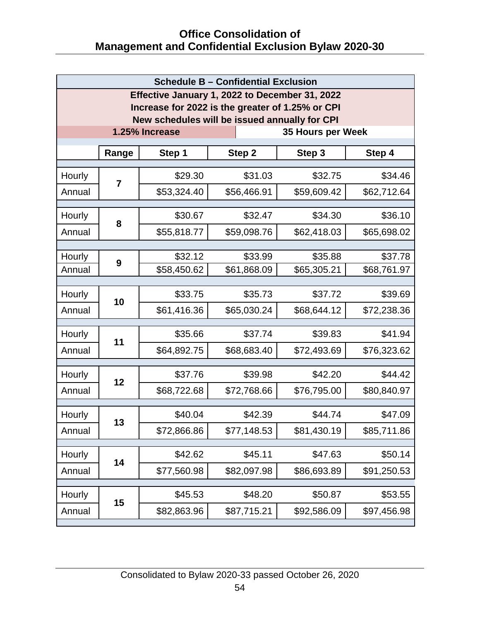| <b>Schedule B - Confidential Exclusion</b>                                                         |                |             |             |             |             |  |
|----------------------------------------------------------------------------------------------------|----------------|-------------|-------------|-------------|-------------|--|
| Effective January 1, 2022 to December 31, 2022<br>Increase for 2022 is the greater of 1.25% or CPI |                |             |             |             |             |  |
| New schedules will be issued annually for CPI                                                      |                |             |             |             |             |  |
| 1.25% Increase<br>35 Hours per Week                                                                |                |             |             |             |             |  |
|                                                                                                    | Range          | Step 1      | Step 2      | Step 3      | Step 4      |  |
| Hourly                                                                                             | $\overline{7}$ | \$29.30     | \$31.03     | \$32.75     | \$34.46     |  |
| Annual                                                                                             |                | \$53,324.40 | \$56,466.91 | \$59,609.42 | \$62,712.64 |  |
| Hourly                                                                                             |                | \$30.67     | \$32.47     | \$34.30     | \$36.10     |  |
| Annual                                                                                             | 8              | \$55,818.77 | \$59,098.76 | \$62,418.03 | \$65,698.02 |  |
| Hourly                                                                                             |                | \$32.12     | \$33.99     | \$35.88     | \$37.78     |  |
| Annual                                                                                             | 9              | \$58,450.62 | \$61,868.09 | \$65,305.21 | \$68,761.97 |  |
| Hourly                                                                                             |                | \$33.75     | \$35.73     | \$37.72     | \$39.69     |  |
| Annual                                                                                             | 10             | \$61,416.36 | \$65,030.24 | \$68,644.12 | \$72,238.36 |  |
| Hourly                                                                                             |                | \$35.66     | \$37.74     | \$39.83     | \$41.94     |  |
| Annual                                                                                             | 11             | \$64,892.75 | \$68,683.40 | \$72,493.69 | \$76,323.62 |  |
| Hourly                                                                                             |                | \$37.76     | \$39.98     | \$42.20     | \$44.42     |  |
| Annual                                                                                             | 12             | \$68,722.68 | \$72,768.66 | \$76,795.00 | \$80,840.97 |  |
| Hourly                                                                                             |                | \$40.04     | \$42.39     | \$44.74     | \$47.09     |  |
| Annual                                                                                             | 13             | \$72,866.86 | \$77,148.53 | \$81,430.19 | \$85,711.86 |  |
| Hourly                                                                                             | 14             | \$42.62     | \$45.11     | \$47.63     | \$50.14     |  |
| Annual                                                                                             |                | \$77,560.98 | \$82,097.98 | \$86,693.89 | \$91,250.53 |  |
| Hourly                                                                                             |                | \$45.53     | \$48.20     | \$50.87     | \$53.55     |  |
| Annual                                                                                             | 15             | \$82,863.96 | \$87,715.21 | \$92,586.09 | \$97,456.98 |  |
|                                                                                                    |                |             |             |             |             |  |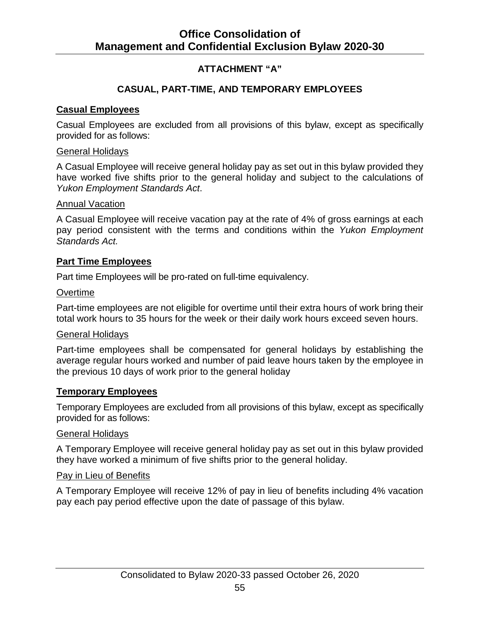### **ATTACHMENT "A"**

#### **CASUAL, PART-TIME, AND TEMPORARY EMPLOYEES**

#### <span id="page-59-0"></span>**Casual Employees**

Casual Employees are excluded from all provisions of this bylaw, except as specifically provided for as follows:

#### General Holidays

A Casual Employee will receive general holiday pay as set out in this bylaw provided they have worked five shifts prior to the general holiday and subject to the calculations of *Yukon Employment Standards Act*.

#### Annual Vacation

A Casual Employee will receive vacation pay at the rate of 4% of gross earnings at each pay period consistent with the terms and conditions within the *Yukon Employment Standards Act.*

#### **Part Time Employees**

Part time Employees will be pro-rated on full-time equivalency.

#### **Overtime**

Part-time employees are not eligible for overtime until their extra hours of work bring their total work hours to 35 hours for the week or their daily work hours exceed seven hours.

#### General Holidays

Part-time employees shall be compensated for general holidays by establishing the average regular hours worked and number of paid leave hours taken by the employee in the previous 10 days of work prior to the general holiday

#### **Temporary Employees**

Temporary Employees are excluded from all provisions of this bylaw, except as specifically provided for as follows:

#### General Holidays

A Temporary Employee will receive general holiday pay as set out in this bylaw provided they have worked a minimum of five shifts prior to the general holiday.

#### Pay in Lieu of Benefits

A Temporary Employee will receive 12% of pay in lieu of benefits including 4% vacation pay each pay period effective upon the date of passage of this bylaw.